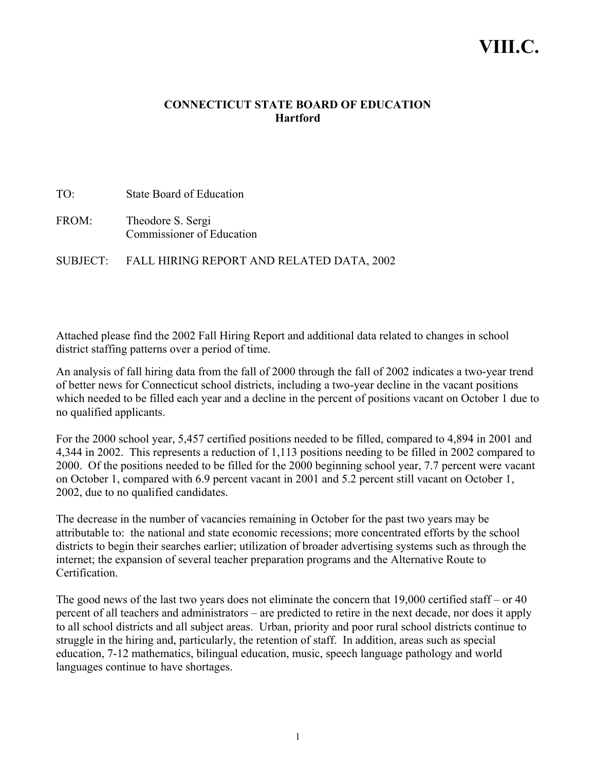# **VIII.C.**

### **CONNECTICUT STATE BOARD OF EDUCATION Hartford**

TO: State Board of Education FROM: Theodore S. Sergi Commissioner of Education

SUBJECT: FALL HIRING REPORT AND RELATED DATA, 2002

Attached please find the 2002 Fall Hiring Report and additional data related to changes in school district staffing patterns over a period of time.

An analysis of fall hiring data from the fall of 2000 through the fall of 2002 indicates a two-year trend of better news for Connecticut school districts, including a two-year decline in the vacant positions which needed to be filled each year and a decline in the percent of positions vacant on October 1 due to no qualified applicants.

For the 2000 school year, 5,457 certified positions needed to be filled, compared to 4,894 in 2001 and 4,344 in 2002. This represents a reduction of 1,113 positions needing to be filled in 2002 compared to 2000. Of the positions needed to be filled for the 2000 beginning school year, 7.7 percent were vacant on October 1, compared with 6.9 percent vacant in 2001 and 5.2 percent still vacant on October 1, 2002, due to no qualified candidates.

The decrease in the number of vacancies remaining in October for the past two years may be attributable to: the national and state economic recessions; more concentrated efforts by the school districts to begin their searches earlier; utilization of broader advertising systems such as through the internet; the expansion of several teacher preparation programs and the Alternative Route to **Certification** 

The good news of the last two years does not eliminate the concern that 19,000 certified staff – or 40 percent of all teachers and administrators – are predicted to retire in the next decade, nor does it apply to all school districts and all subject areas. Urban, priority and poor rural school districts continue to struggle in the hiring and, particularly, the retention of staff. In addition, areas such as special education, 7-12 mathematics, bilingual education, music, speech language pathology and world languages continue to have shortages.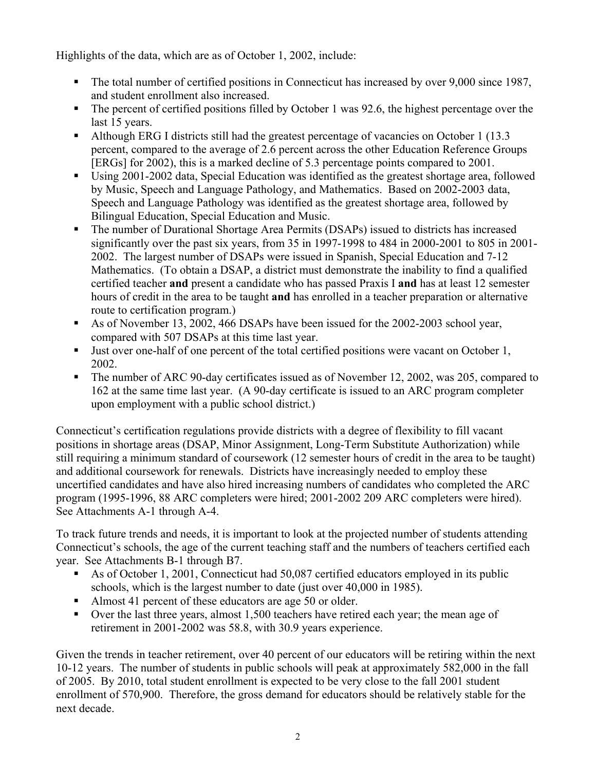Highlights of the data, which are as of October 1, 2002, include:

- The total number of certified positions in Connecticut has increased by over 9,000 since 1987, and student enrollment also increased.
- The percent of certified positions filled by October 1 was 92.6, the highest percentage over the last 15 years.
- Although ERG I districts still had the greatest percentage of vacancies on October 1 (13.3) percent, compared to the average of 2.6 percent across the other Education Reference Groups [ERGs] for 2002), this is a marked decline of 5.3 percentage points compared to 2001.
- Using 2001-2002 data, Special Education was identified as the greatest shortage area, followed by Music, Speech and Language Pathology, and Mathematics. Based on 2002-2003 data, Speech and Language Pathology was identified as the greatest shortage area, followed by Bilingual Education, Special Education and Music.
- The number of Durational Shortage Area Permits (DSAPs) issued to districts has increased significantly over the past six years, from 35 in 1997-1998 to 484 in 2000-2001 to 805 in 2001- 2002. The largest number of DSAPs were issued in Spanish, Special Education and 7-12 Mathematics. (To obtain a DSAP, a district must demonstrate the inability to find a qualified certified teacher **and** present a candidate who has passed Praxis I **and** has at least 12 semester hours of credit in the area to be taught **and** has enrolled in a teacher preparation or alternative route to certification program.)
- As of November 13, 2002, 466 DSAPs have been issued for the 2002-2003 school year, compared with 507 DSAPs at this time last year.
- $\blacksquare$  Just over one-half of one percent of the total certified positions were vacant on October 1, 2002.
- The number of ARC 90-day certificates issued as of November 12, 2002, was 205, compared to 162 at the same time last year. (A 90-day certificate is issued to an ARC program completer upon employment with a public school district.)

Connecticut's certification regulations provide districts with a degree of flexibility to fill vacant positions in shortage areas (DSAP, Minor Assignment, Long-Term Substitute Authorization) while still requiring a minimum standard of coursework (12 semester hours of credit in the area to be taught) and additional coursework for renewals. Districts have increasingly needed to employ these uncertified candidates and have also hired increasing numbers of candidates who completed the ARC program (1995-1996, 88 ARC completers were hired; 2001-2002 209 ARC completers were hired). See Attachments A-1 through A-4.

To track future trends and needs, it is important to look at the projected number of students attending Connecticut's schools, the age of the current teaching staff and the numbers of teachers certified each year. See Attachments B-1 through B7.

- As of October 1, 2001, Connecticut had 50,087 certified educators employed in its public schools, which is the largest number to date (just over 40,000 in 1985).
- Almost 41 percent of these educators are age 50 or older.
- Over the last three years, almost 1,500 teachers have retired each year; the mean age of retirement in 2001-2002 was 58.8, with 30.9 years experience.

Given the trends in teacher retirement, over 40 percent of our educators will be retiring within the next 10-12 years. The number of students in public schools will peak at approximately 582,000 in the fall of 2005. By 2010, total student enrollment is expected to be very close to the fall 2001 student enrollment of 570,900. Therefore, the gross demand for educators should be relatively stable for the next decade.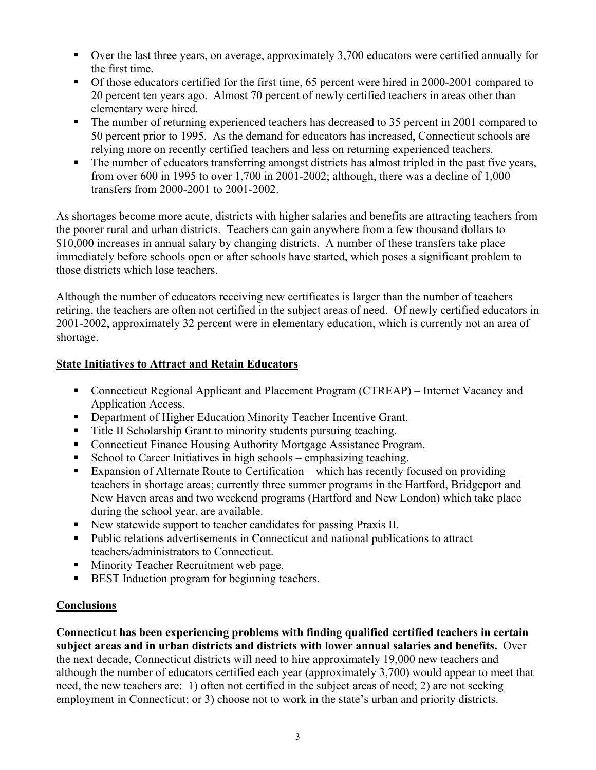- Over the last three years, on average, approximately 3,700 educators were certified annually for the first time.
- Of those educators certified for the first time, 65 percent were hired in 2000-2001 compared to 20 percent ten years ago. Almost 70 percent of newly certified teachers in areas other than elementary were hired.
- The number of returning experienced teachers has decreased to 35 percent in 2001 compared to 50 percent prior to 1995. As the demand for educators has increased, Connecticut schools are relying more on recently certified teachers and less on returning experienced teachers.
- The number of educators transferring amongst districts has almost tripled in the past five years, from over 600 in 1995 to over 1,700 in 2001-2002; although, there was a decline of 1,000 transfers from 2000-2001 to 2001-2002.

As shortages become more acute, districts with higher salaries and benefits are attracting teachers from the poorer rural and urban districts. Teachers can gain anywhere from a few thousand dollars to \$10,000 increases in annual salary by changing districts. A number of these transfers take place immediately before schools open or after schools have started, which poses a significant problem to those districts which lose teachers.

Although the number of educators receiving new certificates is larger than the number of teachers retiring, the teachers are often not certified in the subject areas of need. Of newly certified educators in 2001-2002, approximately 32 percent were in elementary education, which is currently not an area of shortage.

## **State Initiatives to Attract and Retain Educators**

- Connecticut Regional Applicant and Placement Program (CTREAP) Internet Vacancy and Application Access.
- **•** Department of Higher Education Minority Teacher Incentive Grant.
- Title II Scholarship Grant to minority students pursuing teaching.
- Connecticut Finance Housing Authority Mortgage Assistance Program.
- School to Career Initiatives in high schools emphasizing teaching.
- Expansion of Alternate Route to Certification which has recently focused on providing teachers in shortage areas; currently three summer programs in the Hartford, Bridgeport and New Haven areas and two weekend programs (Hartford and New London) which take place during the school year, are available.
- New statewide support to teacher candidates for passing Praxis II.
- Public relations advertisements in Connecticut and national publications to attract teachers/administrators to Connecticut.
- **Minority Teacher Recruitment web page.**
- **BEST** Induction program for beginning teachers.

# **Conclusions**

**Connecticut has been experiencing problems with finding qualified certified teachers in certain subject areas and in urban districts and districts with lower annual salaries and benefits.** Over the next decade, Connecticut districts will need to hire approximately 19,000 new teachers and although the number of educators certified each year (approximately 3,700) would appear to meet that need, the new teachers are: 1) often not certified in the subject areas of need; 2) are not seeking employment in Connecticut; or 3) choose not to work in the state's urban and priority districts.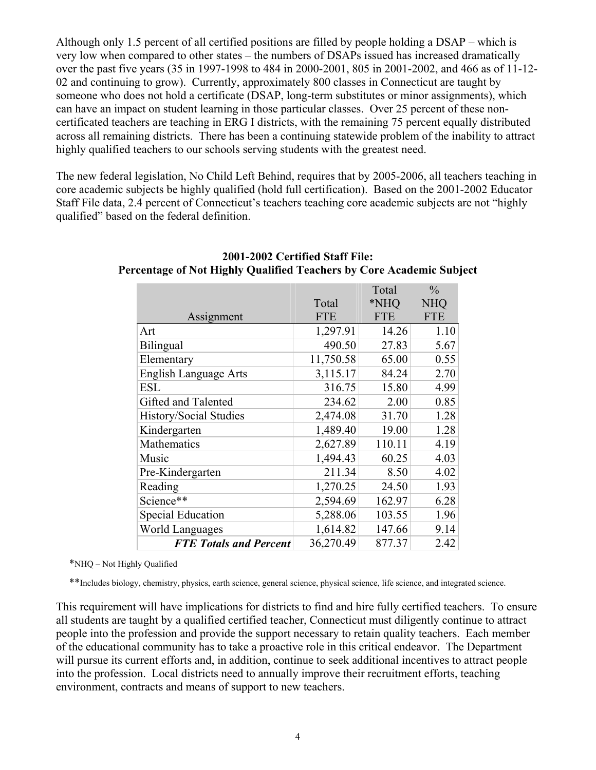Although only 1.5 percent of all certified positions are filled by people holding a DSAP – which is very low when compared to other states – the numbers of DSAPs issued has increased dramatically over the past five years (35 in 1997-1998 to 484 in 2000-2001, 805 in 2001-2002, and 466 as of 11-12- 02 and continuing to grow). Currently, approximately 800 classes in Connecticut are taught by someone who does not hold a certificate (DSAP, long-term substitutes or minor assignments), which can have an impact on student learning in those particular classes. Over 25 percent of these noncertificated teachers are teaching in ERG I districts, with the remaining 75 percent equally distributed across all remaining districts. There has been a continuing statewide problem of the inability to attract highly qualified teachers to our schools serving students with the greatest need.

The new federal legislation, No Child Left Behind, requires that by 2005-2006, all teachers teaching in core academic subjects be highly qualified (hold full certification). Based on the 2001-2002 Educator Staff File data, 2.4 percent of Connecticut's teachers teaching core academic subjects are not "highly qualified" based on the federal definition.

|                               |            | Total      | $\frac{0}{0}$ |
|-------------------------------|------------|------------|---------------|
|                               | Total      | *NHQ       | <b>NHQ</b>    |
| Assignment                    | <b>FTE</b> | <b>FTE</b> | <b>FTE</b>    |
| Art                           | 1,297.91   | 14.26      | 1.10          |
| Bilingual                     | 490.50     | 27.83      | 5.67          |
| Elementary                    | 11,750.58  | 65.00      | 0.55          |
| <b>English Language Arts</b>  | 3,115.17   | 84.24      | 2.70          |
| <b>ESL</b>                    | 316.75     | 15.80      | 4.99          |
| Gifted and Talented           | 234.62     | 2.00       | 0.85          |
| History/Social Studies        | 2,474.08   | 31.70      | 1.28          |
| Kindergarten                  | 1,489.40   | 19.00      | 1.28          |
| Mathematics                   | 2,627.89   | 110.11     | 4.19          |
| Music                         | 1,494.43   | 60.25      | 4.03          |
| Pre-Kindergarten              | 211.34     | 8.50       | 4.02          |
| Reading                       | 1,270.25   | 24.50      | 1.93          |
| Science**                     | 2,594.69   | 162.97     | 6.28          |
| <b>Special Education</b>      | 5,288.06   | 103.55     | 1.96          |
| <b>World Languages</b>        | 1,614.82   | 147.66     | 9.14          |
| <b>FTE Totals and Percent</b> | 36,270.49  | 877.37     | 2.42          |

## **2001-2002 Certified Staff File: Percentage of Not Highly Qualified Teachers by Core Academic Subject**

\*NHQ – Not Highly Qualified

\*\*Includes biology, chemistry, physics, earth science, general science, physical science, life science, and integrated science.

This requirement will have implications for districts to find and hire fully certified teachers. To ensure all students are taught by a qualified certified teacher, Connecticut must diligently continue to attract people into the profession and provide the support necessary to retain quality teachers. Each member of the educational community has to take a proactive role in this critical endeavor. The Department will pursue its current efforts and, in addition, continue to seek additional incentives to attract people into the profession. Local districts need to annually improve their recruitment efforts, teaching environment, contracts and means of support to new teachers.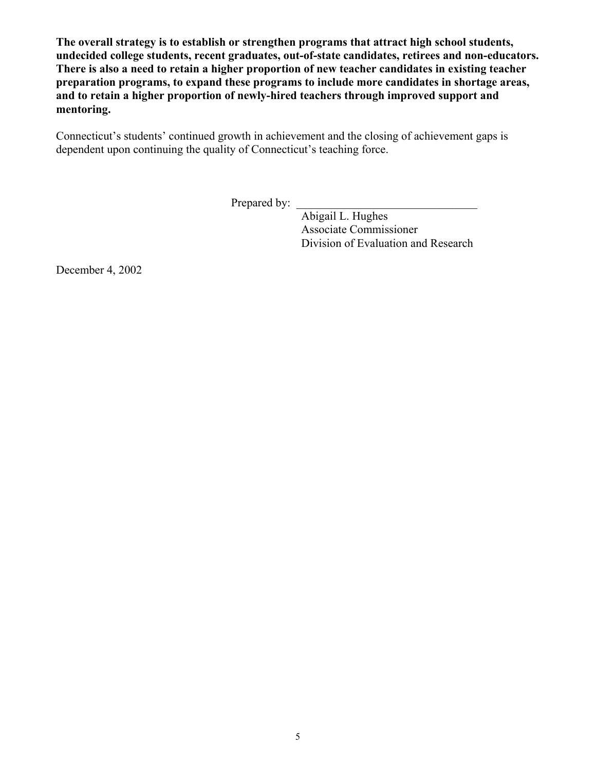**The overall strategy is to establish or strengthen programs that attract high school students, undecided college students, recent graduates, out-of-state candidates, retirees and non-educators. There is also a need to retain a higher proportion of new teacher candidates in existing teacher preparation programs, to expand these programs to include more candidates in shortage areas, and to retain a higher proportion of newly-hired teachers through improved support and mentoring.** 

Connecticut's students' continued growth in achievement and the closing of achievement gaps is dependent upon continuing the quality of Connecticut's teaching force.

Prepared by:

Abigail L. Hughes Associate Commissioner Division of Evaluation and Research

December 4, 2002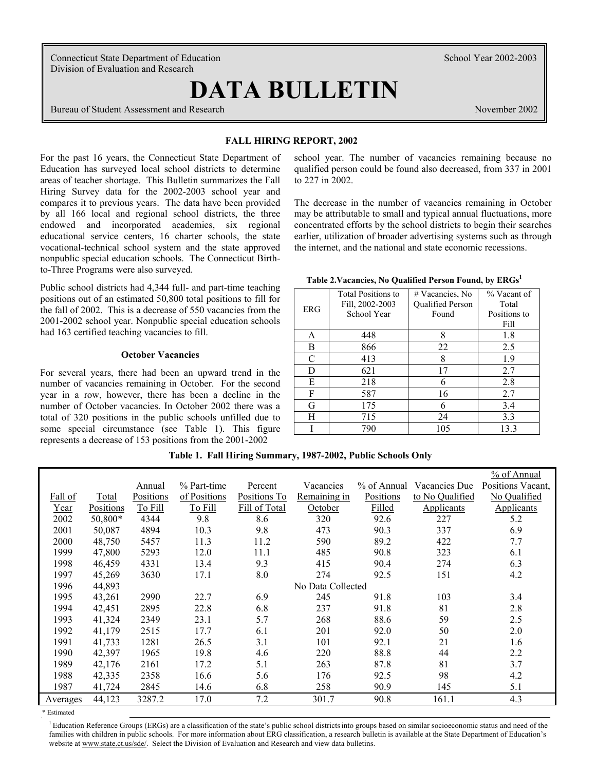Connecticut State Department of Education School Year 2002-2003 Division of Evaluation and Research

# **DATA BULLETIN**

Bureau of Student Assessment and Research November 2002

#### **FALL HIRING REPORT, 2002**

For the past 16 years, the Connecticut State Department of Education has surveyed local school districts to determine areas of teacher shortage. This Bulletin summarizes the Fall Hiring Survey data for the 2002-2003 school year and compares it to previous years. The data have been provided by all 166 local and regional school districts, the three endowed and incorporated academies, six regional educational service centers, 16 charter schools, the state vocational-technical school system and the state approved nonpublic special education schools. The Connecticut Birthto-Three Programs were also surveyed.

Public school districts had 4,344 full- and part-time teaching positions out of an estimated 50,800 total positions to fill for the fall of 2002. This is a decrease of 550 vacancies from the 2001-2002 school year. Nonpublic special education schools had 163 certified teaching vacancies to fill.

#### **October Vacancies**

For several years, there had been an upward trend in the number of vacancies remaining in October. For the second year in a row, however, there has been a decline in the number of October vacancies. In October 2002 there was a total of 320 positions in the public schools unfilled due to some special circumstance (see Table 1). This figure represents a decrease of 153 positions from the 2001-2002

school year. The number of vacancies remaining because no qualified person could be found also decreased, from 337 in 2001 to 227 in 2002.

The decrease in the number of vacancies remaining in October may be attributable to small and typical annual fluctuations, more concentrated efforts by the school districts to begin their searches earlier, utilization of broader advertising systems such as through the internet, and the national and state economic recessions.

|            | <b>Total Positions to</b> | # Vacancies, No  | % Vacant of  |
|------------|---------------------------|------------------|--------------|
| <b>ERG</b> | Fill, 2002-2003           | Qualified Person | Total        |
|            | School Year               | Found            | Positions to |
|            |                           |                  | Fill         |
| Α          | 448                       | 8                | 1.8          |
| B          | 866                       | 22               | 2.5          |
| C          | 413                       | 8                | 1.9          |
| D          | 621                       | 17               | 2.7          |
| E          | 218                       | 6                | 2.8          |
| F          | 587                       | 16               | 2.7          |
| G          | 175                       |                  | 3.4          |
| Н          | 715                       | 24               | 3.3          |
|            | 790                       | 105              | 13.3         |

**Table 2.Vacancies, No Qualified Person Found, by ERGs1** 

| Table 1. Fall Hiring Summary, 1987-2002, Public Schools Only |  |
|--------------------------------------------------------------|--|
|                                                              |  |

|          |           |           |                         |               |                   |             |                 | % of Annual       |
|----------|-----------|-----------|-------------------------|---------------|-------------------|-------------|-----------------|-------------------|
|          |           | Annual    | $\frac{9}{6}$ Part-time | Percent       | Vacancies         | % of Annual | Vacancies Due   | Positions Vacant, |
| Fall of  | Total     | Positions | of Positions            | Positions To  | Remaining in      | Positions   | to No Qualified | No Qualified      |
| Year     | Positions | To Fill   | To Fill                 | Fill of Total | October           | Filled      | Applicants      | Applicants        |
| 2002     | 50,800*   | 4344      | 9.8                     | 8.6           | 320               | 92.6        | 227             | 5.2               |
| 2001     | 50,087    | 4894      | 10.3                    | 9.8           | 473               | 90.3        | 337             | 6.9               |
| 2000     | 48,750    | 5457      | 11.3                    | 11.2          | 590               | 89.2        | 422             | 7.7               |
| 1999     | 47,800    | 5293      | 12.0                    | 11.1          | 485               | 90.8        | 323             | 6.1               |
| 1998     | 46,459    | 4331      | 13.4                    | 9.3           | 415               | 90.4        | 274             | 6.3               |
| 1997     | 45,269    | 3630      | 17.1                    | 8.0           | 274               | 92.5        | 151             | 4.2               |
| 1996     | 44,893    |           |                         |               | No Data Collected |             |                 |                   |
| 1995     | 43,261    | 2990      | 22.7                    | 6.9           | 245               | 91.8        | 103             | 3.4               |
| 1994     | 42,451    | 2895      | 22.8                    | 6.8           | 237               | 91.8        | 81              | 2.8               |
| 1993     | 41,324    | 2349      | 23.1                    | 5.7           | 268               | 88.6        | 59              | 2.5               |
| 1992     | 41,179    | 2515      | 17.7                    | 6.1           | 201               | 92.0        | 50              | 2.0               |
| 1991     | 41,733    | 1281      | 26.5                    | 3.1           | 101               | 92.1        | 21              | 1.6               |
| 1990     | 42,397    | 1965      | 19.8                    | 4.6           | 220               | 88.8        | 44              | 2.2               |
| 1989     | 42,176    | 2161      | 17.2                    | 5.1           | 263               | 87.8        | 81              | 3.7               |
| 1988     | 42,335    | 2358      | 16.6                    | 5.6           | 176               | 92.5        | 98              | 4.2               |
| 1987     | 41,724    | 2845      | 14.6                    | 6.8           | 258               | 90.9        | 145             | 5.1               |
| Averages | 44,123    | 3287.2    | 17.0                    | 7.2           | 301.7             | 90.8        | 161.1           | 4.3               |

\* Estimated

<sup>1</sup> Education Reference Groups (ERGs) are a classification of the state's public school districts into groups based on similar socioeconomic status and need of the families with children in public schools. For more information about ERG classification, a research bulletin is available at the State Department of Education's website at www.state.ct.us/sde/. Select the Division of Evaluation and Research and view data bulletins.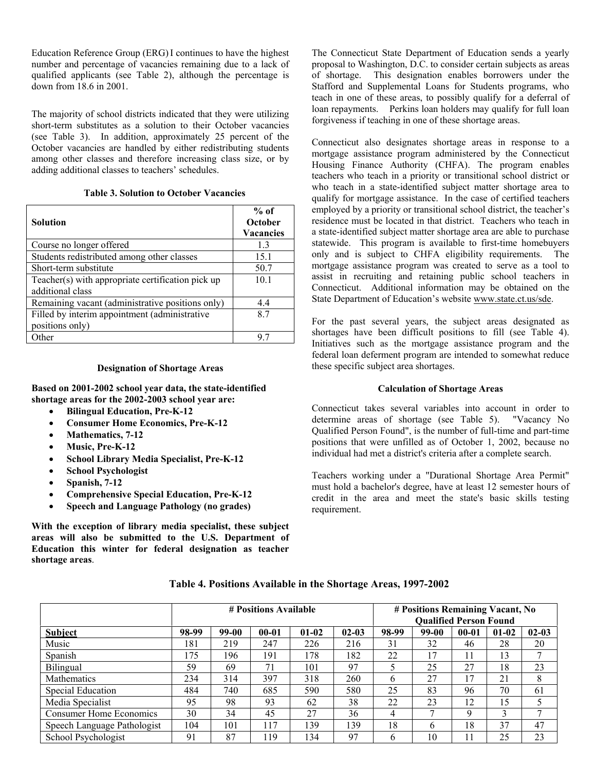Education Reference Group (ERG) I continues to have the highest number and percentage of vacancies remaining due to a lack of qualified applicants (see Table 2), although the percentage is down from 18.6 in 2001.

The majority of school districts indicated that they were utilizing short-term substitutes as a solution to their October vacancies (see Table 3). In addition, approximately 25 percent of the October vacancies are handled by either redistributing students among other classes and therefore increasing class size, or by adding additional classes to teachers' schedules.

| <b>Table 3. Solution to October Vacancies</b> |  |
|-----------------------------------------------|--|
|-----------------------------------------------|--|

| <b>Solution</b>                                                       | $%$ of<br>October<br><b>Vacancies</b> |
|-----------------------------------------------------------------------|---------------------------------------|
| Course no longer offered                                              | 13                                    |
| Students redistributed among other classes                            | 15.1                                  |
| Short-term substitute                                                 | 50.7                                  |
| Teacher(s) with appropriate certification pick up<br>additional class | 10.1                                  |
| Remaining vacant (administrative positions only)                      | 4.4                                   |
| Filled by interim appointment (administrative<br>positions only)      | 87                                    |
| <b>Other</b>                                                          | 97                                    |

#### **Designation of Shortage Areas**

**Based on 2001-2002 school year data, the state-identified shortage areas for the 2002-2003 school year are:** 

- **Bilingual Education, Pre-K-12**
- **Consumer Home Economics, Pre-K-12**
- **Mathematics, 7-12**
- **Music, Pre-K-12**
- **School Library Media Specialist, Pre-K-12**
- **School Psychologist**
- **Spanish, 7-12**
- **Comprehensive Special Education, Pre-K-12**
- **Speech and Language Pathology (no grades)**

**With the exception of library media specialist, these subject areas will also be submitted to the U.S. Department of Education this winter for federal designation as teacher shortage areas**.

The Connecticut State Department of Education sends a yearly proposal to Washington, D.C. to consider certain subjects as areas of shortage. This designation enables borrowers under the Stafford and Supplemental Loans for Students programs, who teach in one of these areas, to possibly qualify for a deferral of loan repayments. Perkins loan holders may qualify for full loan forgiveness if teaching in one of these shortage areas.

Connecticut also designates shortage areas in response to a mortgage assistance program administered by the Connecticut Housing Finance Authority (CHFA). The program enables teachers who teach in a priority or transitional school district or who teach in a state-identified subject matter shortage area to qualify for mortgage assistance. In the case of certified teachers employed by a priority or transitional school district, the teacher's residence must be located in that district. Teachers who teach in a state-identified subject matter shortage area are able to purchase statewide. This program is available to first-time homebuyers only and is subject to CHFA eligibility requirements. The mortgage assistance program was created to serve as a tool to assist in recruiting and retaining public school teachers in Connecticut. Additional information may be obtained on the State Department of Education's website www.state.ct.us/sde.

For the past several years, the subject areas designated as shortages have been difficult positions to fill (see Table 4). Initiatives such as the mortgage assistance program and the federal loan deferment program are intended to somewhat reduce these specific subject area shortages.

#### **Calculation of Shortage Areas**

Connecticut takes several variables into account in order to determine areas of shortage (see Table 5). "Vacancy No Qualified Person Found", is the number of full-time and part-time positions that were unfilled as of October 1, 2002, because no individual had met a district's criteria after a complete search.

Teachers working under a "Durational Shortage Area Permit" must hold a bachelor's degree, have at least 12 semester hours of credit in the area and meet the state's basic skills testing requirement.

|                                |       | # Positions Available |           |         |           |       | # Positions Remaining Vacant, No<br><b>Qualified Person Found</b> |             |         |           |  |  |
|--------------------------------|-------|-----------------------|-----------|---------|-----------|-------|-------------------------------------------------------------------|-------------|---------|-----------|--|--|
| Subject                        | 98-99 | 99-00                 | $00 - 01$ | $01-02$ | $02 - 03$ | 98-99 | 99-00                                                             | $00 - 01$   | $01-02$ | $02 - 03$ |  |  |
| Music                          | 181   | 219                   | 247       | 226     | 216       | 31    | 32                                                                | 46          | 28      | 20        |  |  |
| Spanish                        | 175   | 196                   | 191       | 178     | 182       | 22    | 17                                                                | 11          | 13      |           |  |  |
| Bilingual                      | 59    | 69                    | 71        | 101     | 97        |       | 25                                                                | 27          | 18      | 23        |  |  |
| <b>Mathematics</b>             | 234   | 314                   | 397       | 318     | 260       | b     | 27                                                                |             | 21      | 8         |  |  |
| Special Education              | 484   | 740                   | 685       | 590     | 580       | 25    | 83                                                                | 96          | 70      | 61        |  |  |
| Media Specialist               | 95    | 98                    | 93        | 62      | 38        | 22    | 23                                                                | 12          | 15      |           |  |  |
| <b>Consumer Home Economics</b> | 30    | 34                    | 45        | 27      | 36        | 4     | Ξ                                                                 | $\mathbf Q$ | 3       | 7         |  |  |
| Speech Language Pathologist    | 104   | 101                   | 117       | 139     | 39        | 18    | h                                                                 | 18          | 37      | 47        |  |  |
| School Psychologist            | 91    | 87                    | 19        | 134     | 97        | h     | 10                                                                |             | 25      | 23        |  |  |

**Table 4. Positions Available in the Shortage Areas, 1997-2002**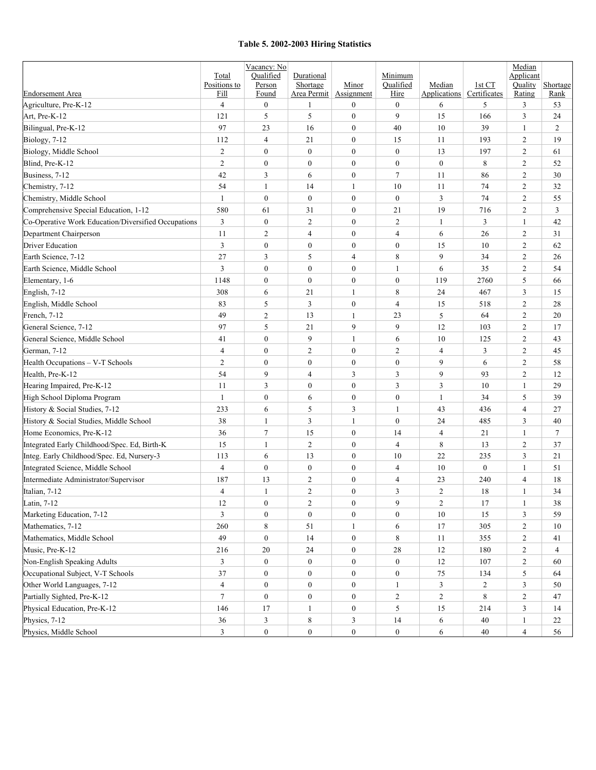#### **Table 5. 2002-2003 Hiring Statistics**

|                                                     | Total<br>Positions to   | Vacancy: No<br>Qualified | Durational              | Minor            | Minimum<br>Qualified |                               | 1st CT           | Median<br>Applicant<br>Quality |                  |
|-----------------------------------------------------|-------------------------|--------------------------|-------------------------|------------------|----------------------|-------------------------------|------------------|--------------------------------|------------------|
| <b>Endorsement Area</b>                             | Fill                    | Person<br>Found          | Shortage<br>Area Permit | Assignment       | Hire                 | Median<br><b>Applications</b> | Certificates     | Rating                         | Shortage<br>Rank |
| Agriculture, Pre-K-12                               | $\overline{4}$          | $\boldsymbol{0}$         | 1                       | $\boldsymbol{0}$ | $\boldsymbol{0}$     | 6                             | 5                | 3                              | 53               |
| Art, Pre-K-12                                       | 121                     | 5                        | 5                       | $\boldsymbol{0}$ | 9                    | 15                            | 166              | 3                              | 24               |
| Bilingual, Pre-K-12                                 | 97                      | 23                       | 16                      | $\boldsymbol{0}$ | 40                   | 10                            | 39               | 1                              | 2                |
| Biology, 7-12                                       | 112                     | $\overline{4}$           | 21                      | $\boldsymbol{0}$ | 15                   | 11                            | 193              | 2                              | 19               |
| Biology, Middle School                              | $\overline{c}$          | $\boldsymbol{0}$         | $\boldsymbol{0}$        | $\boldsymbol{0}$ | $\mathbf{0}$         | 13                            | 197              | 2                              | 61               |
| Blind. Pre-K-12                                     | $\overline{c}$          | $\boldsymbol{0}$         | $\boldsymbol{0}$        | $\boldsymbol{0}$ | $\boldsymbol{0}$     | $\mathbf{0}$                  | 8                | 2                              | 52               |
| Business, 7-12                                      | 42                      | 3                        | 6                       | $\boldsymbol{0}$ | $\tau$               | 11                            | 86               | 2                              | 30               |
| Chemistry, 7-12                                     | 54                      | $\mathbf{1}$             | 14                      | 1                | 10                   | 11                            | 74               | 2                              | 32               |
| Chemistry, Middle School                            | $\mathbf{1}$            | $\boldsymbol{0}$         | $\boldsymbol{0}$        | $\boldsymbol{0}$ | $\boldsymbol{0}$     | 3                             | 74               | $\mathfrak{2}$                 | 55               |
| Comprehensive Special Education, 1-12               | 580                     | 61                       | 31                      | $\boldsymbol{0}$ | 21                   | 19                            | 716              | $\overline{c}$                 | 3                |
| Co-Operative Work Education/Diversified Occupations | 3                       | $\boldsymbol{0}$         | $\overline{c}$          | $\boldsymbol{0}$ | 2                    | 1                             | 3                | 1                              | 42               |
| Department Chairperson                              | 11                      | $\overline{2}$           | $\overline{4}$          | $\boldsymbol{0}$ | $\overline{4}$       | 6                             | 26               | $\overline{c}$                 | 31               |
| <b>Driver Education</b>                             | 3                       | $\boldsymbol{0}$         | $\boldsymbol{0}$        | $\boldsymbol{0}$ | $\boldsymbol{0}$     | 15                            | 10               | $\overline{c}$                 | 62               |
| Earth Science, 7-12                                 | 27                      | 3                        | 5                       | 4                | 8                    | 9                             | 34               | $\overline{c}$                 | 26               |
| Earth Science, Middle School                        | 3                       | $\boldsymbol{0}$         | $\boldsymbol{0}$        | $\boldsymbol{0}$ | 1                    | 6                             | 35               | $\mathfrak{2}$                 | 54               |
| Elementary, 1-6                                     | 1148                    | $\boldsymbol{0}$         | $\boldsymbol{0}$        | $\boldsymbol{0}$ | $\boldsymbol{0}$     | 119                           | 2760             | 5                              | 66               |
| English, 7-12                                       | 308                     | 6                        | 21                      | 1                | 8                    | 24                            | 467              | $\mathfrak{Z}$                 | 15               |
| English, Middle School                              | 83                      | 5                        | 3                       | $\boldsymbol{0}$ | $\overline{4}$       | 15                            | 518              | $\overline{c}$                 | $28\,$           |
| French, 7-12                                        | 49                      | $\mathfrak{2}$           | 13                      | 1                | 23                   | 5                             | 64               | $\overline{c}$                 | 20               |
| General Science, 7-12                               | 97                      | 5                        | 21                      | 9                | 9                    | 12                            | 103              | $\mathfrak{2}$                 | 17               |
| General Science, Middle School                      | 41                      | $\boldsymbol{0}$         | 9                       | 1                | 6                    | 10                            | 125              | 2                              | 43               |
| German, 7-12                                        | $\overline{4}$          | $\boldsymbol{0}$         | $\overline{c}$          | $\mathbf{0}$     | $\overline{c}$       | $\overline{4}$                | 3                | 2                              | 45               |
| Health Occupations - V-T Schools                    | $\overline{c}$          | $\boldsymbol{0}$         | $\boldsymbol{0}$        | $\boldsymbol{0}$ | $\boldsymbol{0}$     | 9                             | 6                | 2                              | 58               |
| Health, Pre-K-12                                    | 54                      | 9                        | $\overline{4}$          | 3                | 3                    | 9                             | 93               | $\overline{c}$                 | 12               |
| Hearing Impaired, Pre-K-12                          | 11                      | 3                        | $\boldsymbol{0}$        | $\boldsymbol{0}$ | 3                    | 3                             | 10               | 1                              | 29               |
| High School Diploma Program                         | $\mathbf{1}$            | $\boldsymbol{0}$         | 6                       | $\boldsymbol{0}$ | $\boldsymbol{0}$     | 1                             | 34               | 5                              | 39               |
| History & Social Studies, 7-12                      | 233                     | 6                        | 5                       | 3                | 1                    | 43                            | 436              | $\overline{4}$                 | 27               |
| History & Social Studies, Middle School             | 38                      | $\mathbf{1}$             | 3                       | 1                | $\boldsymbol{0}$     | 24                            | 485              | 3                              | 40               |
| Home Economics, Pre-K-12                            | 36                      | $\overline{7}$           | 15                      | $\boldsymbol{0}$ | 14                   | $\overline{4}$                | 21               | 1                              | $\tau$           |
| Integrated Early Childhood/Spec. Ed, Birth-K        | 15                      | $\mathbf{1}$             | $\overline{c}$          | $\boldsymbol{0}$ | $\overline{4}$       | 8                             | 13               | $\overline{c}$                 | 37               |
| Integ. Early Childhood/Spec. Ed, Nursery-3          | 113                     | 6                        | 13                      | $\boldsymbol{0}$ | 10                   | 22                            | 235              | $\mathfrak{Z}$                 | 21               |
| Integrated Science, Middle School                   | $\overline{4}$          | $\boldsymbol{0}$         | $\boldsymbol{0}$        | $\boldsymbol{0}$ | $\overline{4}$       | 10                            | $\boldsymbol{0}$ | $\mathbf{1}$                   | 51               |
| Intermediate Administrator/Supervisor               | 187                     | 13                       | 2                       | $\boldsymbol{0}$ | $\overline{4}$       | 23                            | 240              | $\overline{4}$                 | 18               |
| Italian, 7-12                                       | $\overline{4}$          | $\mathbf{1}$             | $\overline{c}$          | $\boldsymbol{0}$ | 3                    | $\overline{c}$                | 18               | $\mathbf{1}$                   | 34               |
| Latin, 7-12                                         | 12                      | $\boldsymbol{0}$         | $\overline{c}$          | $\boldsymbol{0}$ | 9                    | $\overline{c}$                | 17               | $\mathbf{1}$                   | 38               |
| Marketing Education, 7-12                           | $\mathfrak{Z}$          | $\boldsymbol{0}$         | $\boldsymbol{0}$        | $\boldsymbol{0}$ | $\boldsymbol{0}$     | 10                            | 15               | $\mathfrak{Z}$                 | 59               |
| Mathematics, 7-12                                   | 260                     | $\,8\,$                  | 51                      | $\mathbf{1}$     | 6                    | 17                            | 305              | $\overline{c}$                 | 10               |
| Mathematics, Middle School                          | 49                      | $\boldsymbol{0}$         | 14                      | $\boldsymbol{0}$ | $\,8\,$              | 11                            | 355              | $\overline{c}$                 | 41               |
| Music, Pre-K-12                                     | 216                     | 20                       | 24                      | $\boldsymbol{0}$ | $28\,$               | 12                            | 180              | $\overline{c}$                 | $\overline{4}$   |
| Non-English Speaking Adults                         | 3                       | $\boldsymbol{0}$         | $\boldsymbol{0}$        | $\boldsymbol{0}$ | $\boldsymbol{0}$     | 12                            | 107              | $\sqrt{2}$                     | 60               |
| Occupational Subject, V-T Schools                   | 37                      | $\boldsymbol{0}$         | $\boldsymbol{0}$        | $\boldsymbol{0}$ | $\boldsymbol{0}$     | 75                            | 134              | 5                              | 64               |
| Other World Languages, 7-12                         | $\overline{\mathbf{4}}$ | $\boldsymbol{0}$         | $\boldsymbol{0}$        | $\boldsymbol{0}$ | $\mathbf{1}$         | $\mathfrak{Z}$                | $\overline{c}$   | $\mathfrak{Z}$                 | 50               |
| Partially Sighted, Pre-K-12                         | $\tau$                  | $\boldsymbol{0}$         | $\boldsymbol{0}$        | $\boldsymbol{0}$ | $\sqrt{2}$           | $\sqrt{2}$                    | 8                | $\sqrt{2}$                     | 47               |
| Physical Education, Pre-K-12                        | 146                     | 17                       | $\mathbf{1}$            | $\boldsymbol{0}$ | 5                    | 15                            | 214              | $\mathfrak{Z}$                 | 14               |
| Physics, 7-12                                       | 36                      | $\mathfrak{Z}$           | $\,$ 8 $\,$             | 3                | 14                   | 6                             | 40               | $\mathbf{1}$                   | 22               |
| Physics, Middle School                              | 3                       | $\boldsymbol{0}$         | $\boldsymbol{0}$        | $\boldsymbol{0}$ | $\boldsymbol{0}$     | 6                             | 40               | $\overline{4}$                 | 56               |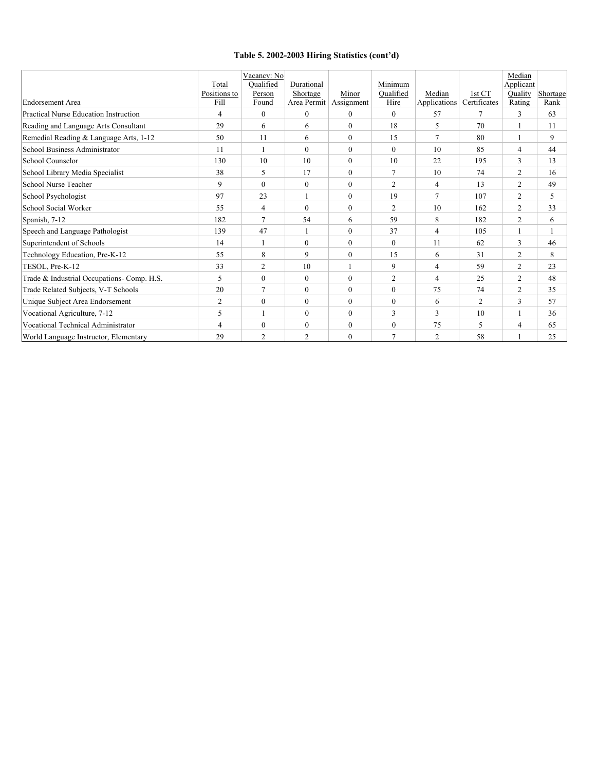#### **Table 5. 2002-2003 Hiring Statistics (cont'd)**

|                                            |              | Vacancy: No    |                |                |                |                |                | Median         |          |
|--------------------------------------------|--------------|----------------|----------------|----------------|----------------|----------------|----------------|----------------|----------|
|                                            | Total        | Qualified      | Durational     |                | Minimum        |                |                | Applicant      |          |
|                                            | Positions to | Person         | Shortage       | Minor          | Oualified      | Median         | 1st CT         | Quality        | Shortage |
| <b>Endorsement Area</b>                    | Fill         | Found          | Area Permit    | Assignment     | Hire           | Applications   | Certificates   | Rating         | Rank     |
| Practical Nurse Education Instruction      | 4            | $\mathbf{0}$   | $\mathbf{0}$   | $\mathbf{0}$   | $\theta$       | 57             | 7              | 3              | 63       |
| Reading and Language Arts Consultant       | 29           | 6              | 6              | $\mathbf{0}$   | 18             | 5              | 70             |                | 11       |
| Remedial Reading & Language Arts, 1-12     | 50           | 11             | 6              | $\mathbf{0}$   | 15             | $\tau$         | 80             |                | 9        |
| School Business Administrator              | 11           |                | $\theta$       | $\mathbf{0}$   | $\theta$       | 10             | 85             | $\overline{4}$ | 44       |
| <b>School Counselor</b>                    | 130          | 10             | 10             | $\theta$       | 10             | 22             | 195            | 3              | 13       |
| School Library Media Specialist            | 38           | 5              | 17             | $\mathbf{0}$   | $\tau$         | 10             | 74             | 2              | 16       |
| School Nurse Teacher                       | 9            | $\theta$       | $\Omega$       | $\Omega$       | $\overline{c}$ | $\overline{4}$ | 13             | $\overline{c}$ | 49       |
| School Psychologist                        | 97           | 23             |                | $\mathbf{0}$   | 19             | $\tau$         | 107            | $\overline{2}$ | 5        |
| School Social Worker                       | 55           | $\overline{4}$ | $\mathbf{0}$   | $\mathbf{0}$   | $\overline{c}$ | 10             | 162            | $\overline{2}$ | 33       |
| Spanish, 7-12                              | 182          | $\overline{7}$ | 54             | 6              | 59             | 8              | 182            | $\overline{2}$ | 6        |
| Speech and Language Pathologist            | 139          | 47             |                | $\mathbf{0}$   | 37             | $\overline{4}$ | 105            |                |          |
| Superintendent of Schools                  | 14           |                | $\overline{0}$ | $\overline{0}$ | $\mathbf{0}$   | 11             | 62             | 3              | 46       |
| Technology Education, Pre-K-12             | 55           | 8              | 9              | $\mathbf{0}$   | 15             | 6              | 31             | $\overline{2}$ | 8        |
| TESOL, Pre-K-12                            | 33           | 2              | 10             |                | 9              | 4              | 59             | 2              | 23       |
| Trade & Industrial Occupations- Comp. H.S. | 5            | $\mathbf{0}$   | $\overline{0}$ | $\mathbf{0}$   | $\mathfrak{2}$ | $\overline{4}$ | 25             | $\overline{2}$ | 48       |
| Trade Related Subjects, V-T Schools        | 20           | $\overline{7}$ | $\mathbf{0}$   | $\theta$       | $\theta$       | 75             | 74             | 2              | 35       |
| Unique Subject Area Endorsement            | 2            | $\mathbf{0}$   | $\overline{0}$ | $\mathbf{0}$   | $\mathbf{0}$   | 6              | $\overline{2}$ | 3              | 57       |
| Vocational Agriculture, 7-12               | 5            |                | $\overline{0}$ | $\theta$       | 3              | 3              | 10             |                | 36       |
| Vocational Technical Administrator         | 4            | $\mathbf{0}$   | $\mathbf{0}$   | $\theta$       | $\theta$       | 75             | 5              | $\overline{4}$ | 65       |
| World Language Instructor, Elementary      | 29           | $\overline{2}$ | $\overline{2}$ | $\mathbf{0}$   | $\overline{7}$ | 2              | 58             |                | 25       |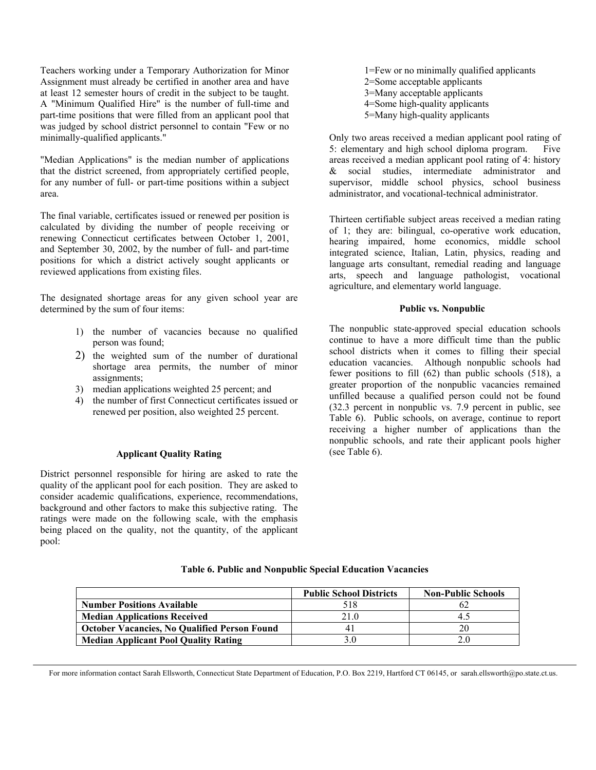Teachers working under a Temporary Authorization for Minor Assignment must already be certified in another area and have at least 12 semester hours of credit in the subject to be taught. A "Minimum Qualified Hire" is the number of full-time and part-time positions that were filled from an applicant pool that was judged by school district personnel to contain "Few or no minimally-qualified applicants."

"Median Applications" is the median number of applications that the district screened, from appropriately certified people, for any number of full- or part-time positions within a subject area.

The final variable, certificates issued or renewed per position is calculated by dividing the number of people receiving or renewing Connecticut certificates between October 1, 2001, and September 30, 2002, by the number of full- and part-time positions for which a district actively sought applicants or reviewed applications from existing files.

The designated shortage areas for any given school year are determined by the sum of four items:

- 1) the number of vacancies because no qualified person was found;
- 2) the weighted sum of the number of durational shortage area permits, the number of minor assignments;
- 3) median applications weighted 25 percent; and
- 4) the number of first Connecticut certificates issued or renewed per position, also weighted 25 percent.

#### **Applicant Quality Rating**

District personnel responsible for hiring are asked to rate the quality of the applicant pool for each position. They are asked to consider academic qualifications, experience, recommendations, background and other factors to make this subjective rating. The ratings were made on the following scale, with the emphasis being placed on the quality, not the quantity, of the applicant pool:

1=Few or no minimally qualified applicants 2=Some acceptable applicants 3=Many acceptable applicants 4=Some high-quality applicants 5=Many high-quality applicants

Only two areas received a median applicant pool rating of 5: elementary and high school diploma program. Five areas received a median applicant pool rating of 4: history & social studies, intermediate administrator and supervisor, middle school physics, school business administrator, and vocational-technical administrator.

Thirteen certifiable subject areas received a median rating of 1; they are: bilingual, co-operative work education, hearing impaired, home economics, middle school integrated science, Italian, Latin, physics, reading and language arts consultant, remedial reading and language arts, speech and language pathologist, vocational agriculture, and elementary world language.

#### **Public vs. Nonpublic**

The nonpublic state-approved special education schools continue to have a more difficult time than the public school districts when it comes to filling their special education vacancies. Although nonpublic schools had fewer positions to fill (62) than public schools (518), a greater proportion of the nonpublic vacancies remained unfilled because a qualified person could not be found (32.3 percent in nonpublic vs. 7.9 percent in public, see Table 6). Public schools, on average, continue to report receiving a higher number of applications than the nonpublic schools, and rate their applicant pools higher (see Table 6).

|                                                     | <b>Public School Districts</b> | <b>Non-Public Schools</b> |
|-----------------------------------------------------|--------------------------------|---------------------------|
| <b>Number Positions Available</b>                   | 518                            |                           |
| <b>Median Applications Received</b>                 | 21.0                           | 4.5                       |
| <b>October Vacancies, No Qualified Person Found</b> |                                | 20                        |
| <b>Median Applicant Pool Quality Rating</b>         | 3.0                            |                           |

#### **Table 6. Public and Nonpublic Special Education Vacancies**

For more information contact Sarah Ellsworth, Connecticut State Department of Education, P.O. Box 2219, Hartford CT 06145, or sarah.ellsworth@po.state.ct.us.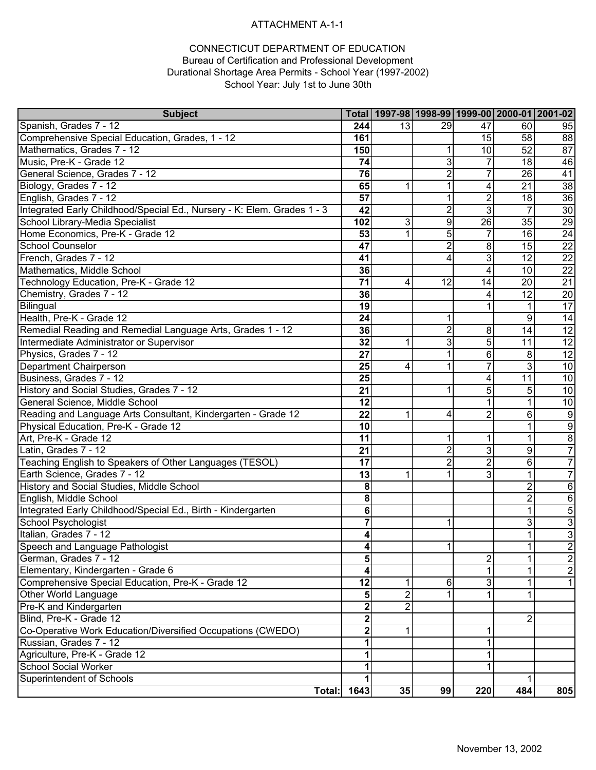### ATTACHMENT A-1-1

#### CONNECTICUT DEPARTMENT OF EDUCATION Bureau of Certification and Professional Development Durational Shortage Area Permits - School Year (1997-2002) School Year: July 1st to June 30th

| <b>Subject</b>                                                          |                    | Total   1997-98   1998-99   1999-00   2000-01   2001-02 |                |                |                 |                 |
|-------------------------------------------------------------------------|--------------------|---------------------------------------------------------|----------------|----------------|-----------------|-----------------|
| Spanish, Grades 7 - 12                                                  | 244                | 13                                                      | 29             | 47             | 60              | 95              |
| Comprehensive Special Education, Grades, 1 - 12                         | 161                |                                                         |                | 15             | 58              | $\overline{88}$ |
| Mathematics, Grades 7 - 12                                              | 150                |                                                         |                | 10             | 52              | $\overline{87}$ |
| Music, Pre-K - Grade 12                                                 | 74                 |                                                         | 3              | 7              | 18              | 46              |
| General Science, Grades 7 - 12                                          | 76                 |                                                         | $\overline{2}$ | 7              | 26              | 41              |
| Biology, Grades 7 - 12                                                  | 65                 | $\mathbf 1$                                             | 1              | 4              | 21              | $\overline{38}$ |
| English, Grades 7 - 12                                                  | 57                 |                                                         |                | $\overline{2}$ | 18              | $\overline{36}$ |
| Integrated Early Childhood/Special Ed., Nursery - K: Elem. Grades 1 - 3 | 42                 |                                                         | $\overline{2}$ | 3              | $\overline{7}$  | 30              |
| School Library-Media Specialist                                         | 102                | 3                                                       | $\overline{9}$ | 26             | $\overline{35}$ | 29              |
| Home Economics, Pre-K - Grade 12                                        | 53                 | $\mathbf{1}$                                            | 5              | $\overline{7}$ | 16              | $\overline{24}$ |
| School Counselor                                                        | 47                 |                                                         | $\overline{2}$ | 8              | 15              | $\overline{22}$ |
| French, Grades 7 - 12                                                   | 41                 |                                                         | 4              | 3              | 12              | $\overline{22}$ |
| Mathematics, Middle School                                              | 36                 |                                                         |                | 4              | 10              | $\overline{22}$ |
| Technology Education, Pre-K - Grade 12                                  | 71                 | 4                                                       | 12             | 14             | 20              | $\overline{21}$ |
| Chemistry, Grades 7 - 12                                                | 36                 |                                                         |                | 4              | $\overline{12}$ | $\overline{20}$ |
| Bilingual                                                               | 19                 |                                                         |                |                | 1               | 17              |
| Health, Pre-K - Grade 12                                                | 24                 |                                                         |                |                | 9               | 14              |
| Remedial Reading and Remedial Language Arts, Grades 1 - 12              | 36                 |                                                         | $\overline{2}$ | 8              | 14              | 12              |
| Intermediate Administrator or Supervisor                                | 32                 | 1                                                       | 3              | $\overline{5}$ | $\overline{11}$ | 12              |
| Physics, Grades 7 - 12                                                  | 27                 |                                                         |                | 6              | 8               | 12              |
| <b>Department Chairperson</b>                                           | 25                 | 4                                                       |                | 7              | 3               | 10              |
| Business, Grades 7 - 12                                                 | 25                 |                                                         |                | 4              | $\overline{11}$ | 10              |
| History and Social Studies, Grades 7 - 12                               | 21                 |                                                         |                | 5              | 5               | 10              |
| General Science, Middle School                                          | 12                 |                                                         |                | 1              | 1               | 10              |
| Reading and Language Arts Consultant, Kindergarten - Grade 12           | 22                 | 1                                                       | 4              | $\overline{2}$ | 6               | 9               |
| Physical Education, Pre-K - Grade 12                                    | 10                 |                                                         |                |                | 1               | $\overline{9}$  |
| Art, Pre-K - Grade 12                                                   | 11                 |                                                         | 1              | 1              | $\mathbf 1$     | $\overline{8}$  |
| Latin, Grades 7 - 12                                                    | 21                 |                                                         | $\overline{2}$ | دن             | 9               | $\overline{7}$  |
| Teaching English to Speakers of Other Languages (TESOL)                 | 17                 |                                                         | $\overline{2}$ | $\overline{2}$ | 6               | 7               |
| Earth Science, Grades 7 - 12                                            | 13                 | 1                                                       |                | $\overline{3}$ | $\overline{1}$  | $\overline{7}$  |
| History and Social Studies, Middle School                               | 8                  |                                                         |                |                | $\overline{c}$  | 6               |
| English, Middle School                                                  | 8                  |                                                         |                |                | $\overline{2}$  | $\overline{6}$  |
| Integrated Early Childhood/Special Ed., Birth - Kindergarten            | 6                  |                                                         |                |                | $\mathbf 1$     | $\overline{5}$  |
| School Psychologist                                                     | $\overline{7}$     |                                                         |                |                | 3               | $\overline{3}$  |
| Italian, Grades 7 - 12                                                  | 4                  |                                                         |                |                | 1               | $\overline{3}$  |
| Speech and Language Pathologist                                         | $\boldsymbol{4}$   |                                                         |                |                |                 | $\frac{2}{2}$   |
| German, Grades 7 - 12                                                   | 5                  |                                                         |                | 2              | 1               |                 |
| Elementary, Kindergarten - Grade 6                                      | 4                  |                                                         |                |                | 1               | $\overline{2}$  |
| Comprehensive Special Education, Pre-K - Grade 12                       | 12                 | 1                                                       | 6              | 3              | 1               | $\mathbf{1}$    |
| <b>Other World Language</b>                                             | 5                  | $\overline{2}$                                          |                |                |                 |                 |
| Pre-K and Kindergarten                                                  | $\mathbf 2$        | $\overline{2}$                                          |                |                |                 |                 |
| Blind, Pre-K - Grade 12                                                 | $\overline{2}$     |                                                         |                |                | 2               |                 |
| Co-Operative Work Education/Diversified Occupations (CWEDO)             | $\mathbf{2}$       | 1                                                       |                | 1              |                 |                 |
| Russian, Grades 7 - 12                                                  | 1                  |                                                         |                |                |                 |                 |
| Agriculture, Pre-K - Grade 12                                           |                    |                                                         |                |                |                 |                 |
| School Social Worker                                                    |                    |                                                         |                |                |                 |                 |
| Superintendent of Schools                                               |                    |                                                         |                |                |                 |                 |
|                                                                         | <b>Total: 1643</b> | 35                                                      | 99             | 220            | 484             | 805             |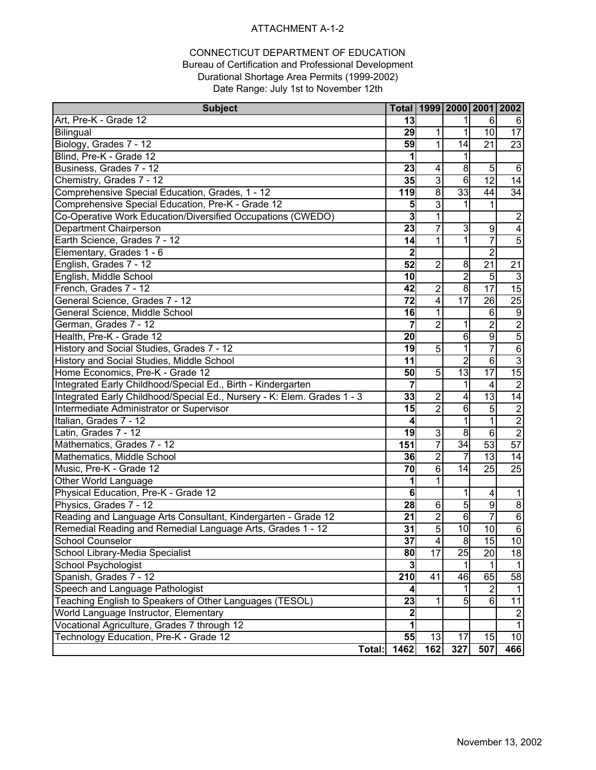#### ATTACHMENT A-1-2

#### CONNECTICUT DEPARTMENT OF EDUCATION Bureau of Certification and Professional Development Durational Shortage Area Permits (1999-2002) Date Range: July 1st to November 12th

| <b>Subject</b>                                                          |                  |                 |                 |                         | Total   1999   2000   2001   2002 |
|-------------------------------------------------------------------------|------------------|-----------------|-----------------|-------------------------|-----------------------------------|
| Art, Pre-K - Grade 12                                                   | 13               |                 |                 | 6                       | 6                                 |
| Bilingual                                                               | 29               |                 |                 | 10                      | $\overline{17}$                   |
| Biology, Grades 7 - 12                                                  | 59               | 1               | 14              | $\overline{21}$         | $\overline{23}$                   |
| Blind, Pre-K - Grade 12                                                 | 1                |                 |                 |                         |                                   |
| Business, Grades 7 - 12                                                 | 23               | 4               | 8               | 5                       | 6                                 |
| Chemistry, Grades 7 - 12                                                | 35               | 3               | 6               | $\overline{12}$         | 14                                |
| Comprehensive Special Education, Grades, 1 - 12                         | 119              | 8               | 33              | 44                      | 34                                |
| Comprehensive Special Education, Pre-K - Grade 12                       | 5                | 3               |                 | 1                       |                                   |
| Co-Operative Work Education/Diversified Occupations (CWEDO)             | 3                | 1               |                 |                         | $\sqrt{2}$                        |
| Department Chairperson                                                  | 23               | 7               | 3               | 9                       | $\overline{4}$                    |
| Earth Science, Grades 7 - 12                                            | 14               | 1               |                 | 7                       | $\overline{5}$                    |
| Elementary, Grades 1 - 6                                                | $\mathbf{2}$     |                 |                 | $\overline{2}$          |                                   |
| English, Grades 7 - 12                                                  | $\overline{52}$  | $\overline{2}$  | 8               | $\overline{21}$         | $\overline{21}$                   |
| English, Middle School                                                  | 10               |                 | $\overline{2}$  | 5                       | $\overline{3}$                    |
| French, Grades 7 - 12                                                   | 42               | $\overline{2}$  | $\infty$        | $\overline{17}$         | 15                                |
| General Science, Grades 7 - 12                                          | 72               | 4               | $\overline{17}$ | 26                      | $\overline{25}$                   |
| General Science, Middle School                                          | 16               |                 |                 | 6                       | $\overline{9}$                    |
| German, Grades 7 - 12                                                   | $\overline{7}$   | $\overline{2}$  |                 | $\overline{c}$          | $\overline{2}$                    |
| Health, Pre-K - Grade 12                                                | 20               |                 | 6               | $\overline{9}$          | $\overline{5}$                    |
| History and Social Studies, Grades 7 - 12                               | 19               | 5               |                 | $\overline{7}$          | $\overline{6}$                    |
| History and Social Studies, Middle School                               | 11               |                 | $\overline{2}$  | $\overline{6}$          | $\overline{3}$                    |
| Home Economics, Pre-K - Grade 12                                        | 50               | 5               | $\overline{13}$ | $\overline{17}$         | 15                                |
| Integrated Early Childhood/Special Ed., Birth - Kindergarten            | 7                |                 | 1               | 4                       | $\overline{2}$                    |
| Integrated Early Childhood/Special Ed., Nursery - K: Elem. Grades 1 - 3 | 33               | $\overline{2}$  | 4               | 13                      | 14                                |
| Intermediate Administrator or Supervisor                                | 15               | $\overline{2}$  | 6               | 5                       |                                   |
| Italian, Grades 7 - 12                                                  | 4                |                 | 1               | 1                       | $\frac{2}{2}$                     |
| Latin, Grades 7 - 12                                                    | 19               | $\overline{3}$  | 8               | $6\phantom{1}$          | $\overline{2}$                    |
| Mathematics, Grades 7 - 12                                              | 151              | $\overline{7}$  | $\overline{34}$ | $\overline{53}$         | 57                                |
| Mathematics, Middle School                                              | 36               | $\overline{2}$  | $\overline{7}$  | 13                      | 14                                |
| Music, Pre-K - Grade 12                                                 | 70               | 6               | 14              | 25                      | $\overline{25}$                   |
| Other World Language                                                    | 1                |                 |                 |                         |                                   |
| Physical Education, Pre-K - Grade 12                                    | 6                |                 | 1               | $\overline{\mathbf{4}}$ | $\mathbf{1}$                      |
| Physics, Grades 7 - 12                                                  | 28               | 6               | $\overline{5}$  | $\overline{9}$          | $\infty$                          |
| Reading and Language Arts Consultant, Kindergarten - Grade 12           | 21               | $\overline{2}$  | 6               | $\overline{7}$          | $\overline{6}$                    |
| Remedial Reading and Remedial Language Arts, Grades 1 - 12              | 31               | $\overline{5}$  | $\overline{10}$ | $\overline{10}$         | $\overline{6}$                    |
| <b>School Counselor</b>                                                 | 37               | 4               | 8               | $\overline{15}$         | 10                                |
| School Library-Media Specialist                                         | 80               | $\overline{17}$ | $\overline{25}$ | $\overline{20}$         | 18                                |
| School Psychologist                                                     | 3                |                 |                 | 1                       | $\mathbf{1}$                      |
| Spanish, Grades 7 - 12                                                  | $\overline{210}$ | 41              | 46              | 65                      | 58                                |
| Speech and Language Pathologist                                         | 4                |                 |                 | $\overline{2}$          | $\mathbf{1}$                      |
| Teaching English to Speakers of Other Languages (TESOL)                 | 23               |                 | 5               | 6                       | $\overline{11}$                   |
| World Language Instructor, Elementary                                   | $\overline{2}$   |                 |                 |                         | $\boldsymbol{2}$                  |
| Vocational Agriculture, Grades 7 through 12                             |                  |                 |                 |                         | $\overline{1}$                    |
| Technology Education, Pre-K - Grade 12                                  | 55               | 13              | 17              | 15                      | $\overline{10}$                   |
| Total:                                                                  | 1462             | 162             | 327             | 507                     | 466                               |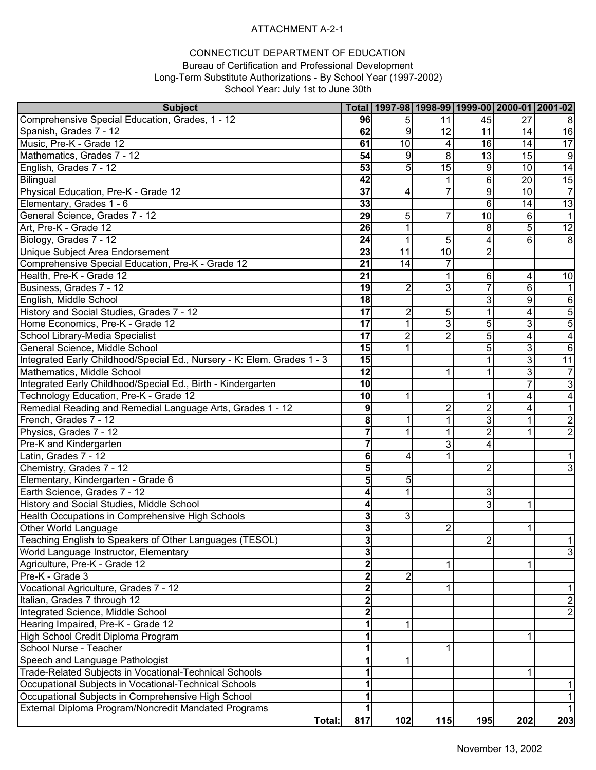### ATTACHMENT A-2-1

#### CONNECTICUT DEPARTMENT OF EDUCATION Bureau of Certification and Professional Development Long-Term Substitute Authorizations - By School Year (1997-2002) School Year: July 1st to June 30th

| <b>Subject</b>                                                          |                 |                 | Total   1997-98   1998-99   1999-00   2000-01   2001-02 |                |                |                 |
|-------------------------------------------------------------------------|-----------------|-----------------|---------------------------------------------------------|----------------|----------------|-----------------|
| Comprehensive Special Education, Grades, 1 - 12                         | 96              | 51              | 11                                                      | 45             | 27             | 8               |
| Spanish, Grades 7 - 12                                                  | 62              | 9               | 12                                                      | 11             | 14             | 16              |
| Music, Pre-K - Grade 12                                                 | 61              | 10              | 4                                                       | 16             | 14             | 17              |
| Mathematics, Grades 7 - 12                                              | 54              | 9               | 8                                                       | 13             | 15             | $\overline{9}$  |
| English, Grades 7 - 12                                                  | 53              | 5               | 15                                                      | 9              | 10             | $\overline{14}$ |
| Bilingual                                                               | 42              |                 | 1                                                       | 6              | 20             | 15              |
| Physical Education, Pre-K - Grade 12                                    | $\overline{37}$ | 4               | 7                                                       | 9              | 10             | $\overline{7}$  |
| Elementary, Grades 1 - 6                                                | 33              |                 |                                                         | 6              | 14             | 13              |
| General Science, Grades 7 - 12                                          | 29              | 5 <sub>l</sub>  | 7                                                       | 10             | 6              | $\mathbf{1}$    |
| Art, Pre-K - Grade 12                                                   | 26              | $\mathbf{1}$    |                                                         | 8              | 5              | $\overline{12}$ |
| Biology, Grades 7 - 12                                                  | 24              | 1               | 5                                                       | 4              | 6              | 8               |
| <b>Unique Subject Area Endorsement</b>                                  | 23              | $\overline{11}$ | 10                                                      | $\overline{2}$ |                |                 |
| Comprehensive Special Education, Pre-K - Grade 12                       | $\overline{21}$ | 14              |                                                         |                |                |                 |
| Health, Pre-K - Grade 12                                                | 21              |                 | 1                                                       | 6              | 4              | 10              |
| Business, Grades 7 - 12                                                 | 19              | 2               | 3                                                       |                | 6              |                 |
| English, Middle School                                                  | 18              |                 |                                                         | 3              | 9              | 6               |
| History and Social Studies, Grades 7 - 12                               | 17              | $\overline{c}$  | 5                                                       | 1              | 4              | $\overline{5}$  |
| Home Economics, Pre-K - Grade 12                                        | 17              | $\overline{1}$  | 3                                                       | 5              | 3              | $\overline{5}$  |
| School Library-Media Specialist                                         | 17              | $\overline{2}$  | $\overline{2}$                                          | 5              | 4              | $\overline{4}$  |
| General Science, Middle School                                          | 15              | 1               |                                                         | 5              | 3              | 6               |
| Integrated Early Childhood/Special Ed., Nursery - K: Elem. Grades 1 - 3 | 15              |                 |                                                         | 1              | 3              | 11              |
| Mathematics, Middle School                                              | 12              |                 | 1                                                       |                | 3              | $\overline{7}$  |
| Integrated Early Childhood/Special Ed., Birth - Kindergarten            | 10              |                 |                                                         |                | $\overline{7}$ | $\overline{3}$  |
| Technology Education, Pre-K - Grade 12                                  | 10              | 1               |                                                         | 1              | 4              | 4               |
| Remedial Reading and Remedial Language Arts, Grades 1 - 12              | 9               |                 | $\overline{2}$                                          | 2              | 4              | $\mathbf{1}$    |
| French, Grades 7 - 12                                                   | 8               |                 | 1                                                       | $\overline{3}$ | 1              | $\overline{2}$  |
| Physics, Grades 7 - 12                                                  |                 | 1               | 1                                                       | $\overline{2}$ | 1              | $\overline{2}$  |
| Pre-K and Kindergarten                                                  |                 |                 | 3                                                       | 4              |                |                 |
| Latin, Grades 7 - 12                                                    | 6               | 4               |                                                         |                |                | 1               |
| Chemistry, Grades 7 - 12                                                | 5               |                 |                                                         | $\overline{2}$ |                | دن              |
| Elementary, Kindergarten - Grade 6                                      | 5               | 5               |                                                         |                |                |                 |
| Earth Science, Grades 7 - 12                                            |                 | 1               |                                                         | 3              |                |                 |
| History and Social Studies, Middle School                               |                 |                 |                                                         | 3              | 1              |                 |
| Health Occupations in Comprehensive High Schools                        | 3               | $\mathbf{3}$    |                                                         |                |                |                 |
| Other World Language                                                    | 3               |                 | $\overline{2}$                                          |                | 1              |                 |
| Teaching English to Speakers of Other Languages (TESOL)                 | 3               |                 |                                                         | 21             |                | 1               |
| World Language Instructor, Elementary                                   | $\overline{3}$  |                 |                                                         |                |                | $\overline{3}$  |
| Agriculture, Pre-K - Grade 12                                           |                 |                 | 1                                                       |                |                |                 |
| Pre-K - Grade 3                                                         |                 | 2               |                                                         |                |                |                 |
| Vocational Agriculture, Grades 7 - 12                                   |                 |                 | 1                                                       |                |                | 1               |
| Italian, Grades 7 through 12                                            |                 |                 |                                                         |                |                | $\overline{c}$  |
| Integrated Science, Middle School                                       |                 |                 |                                                         |                |                | $\mathbf{2}$    |
| Hearing Impaired, Pre-K - Grade 12                                      |                 | 1               |                                                         |                |                |                 |
| High School Credit Diploma Program                                      |                 |                 |                                                         |                | 1              |                 |
| School Nurse - Teacher                                                  |                 |                 | 1                                                       |                |                |                 |
| Speech and Language Pathologist                                         |                 | 1               |                                                         |                |                |                 |
| Trade-Related Subjects in Vocational-Technical Schools                  |                 |                 |                                                         |                | 1              |                 |
| Occupational Subjects in Vocational-Technical Schools                   |                 |                 |                                                         |                |                | 1               |
| Occupational Subjects in Comprehensive High School                      |                 |                 |                                                         |                |                | 1               |
| External Diploma Program/Noncredit Mandated Programs                    |                 |                 |                                                         |                |                | $\mathbf{1}$    |
| Total:                                                                  | 817             | 102             | $115$                                                   | 195            | 202            | 203             |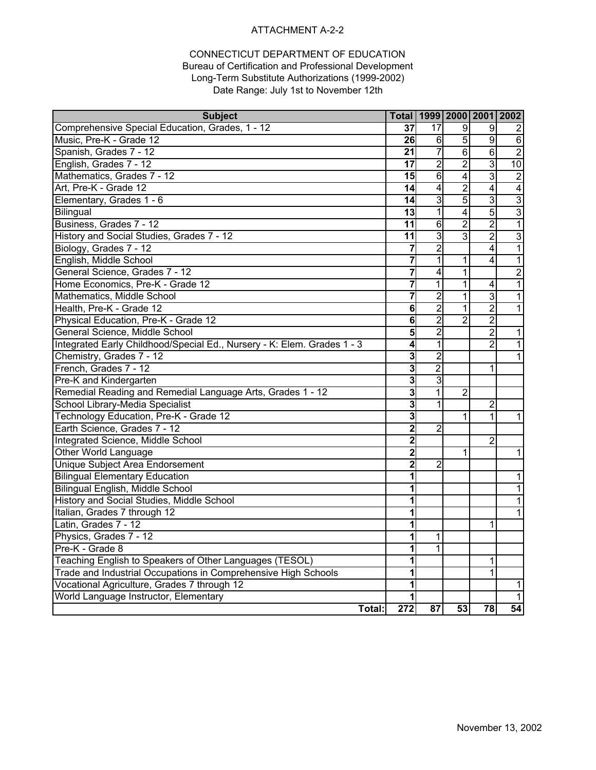#### ATTACHMENT A-2-2

#### CONNECTICUT DEPARTMENT OF EDUCATION Bureau of Certification and Professional Development Long-Term Substitute Authorizations (1999-2002) Date Range: July 1st to November 12th

| <b>Subject</b>                                                          |                         | Total   1999   2000   2001   2002 |                         |                |                         |
|-------------------------------------------------------------------------|-------------------------|-----------------------------------|-------------------------|----------------|-------------------------|
| Comprehensive Special Education, Grades, 1 - 12                         | 37                      | 17                                | $\boldsymbol{9}$        | 9              | 2                       |
| Music, Pre-K - Grade 12                                                 | 26                      | 6                                 | $\overline{5}$          | 9              | $\,6$                   |
| Spanish, Grades 7 - 12                                                  | 21                      | 7                                 | $\overline{6}$          | $\overline{6}$ | $\overline{2}$          |
| English, Grades 7 - 12                                                  | 17                      | $\overline{2}$                    | $\overline{2}$          | $\overline{3}$ | 10                      |
| Mathematics, Grades 7 - 12                                              | 15                      | $\overline{6}$                    | $\overline{4}$          | $\overline{3}$ | $\overline{2}$          |
| Art, Pre-K - Grade 12                                                   | 14                      | 4                                 | $\overline{2}$          | $\overline{4}$ | $\overline{\mathbf{4}}$ |
| Elementary, Grades 1 - 6                                                | 14                      | 3                                 | $\overline{5}$          | دن             | $\overline{3}$          |
| Bilingual                                                               | 13                      | 1                                 | $\overline{\mathbf{4}}$ | $\overline{5}$ | $\overline{3}$          |
| Business, Grades 7 - 12                                                 | $\overline{11}$         | $\overline{6}$                    | $\overline{2}$          | $\overline{2}$ | $\overline{1}$          |
| History and Social Studies, Grades 7 - 12                               | 11                      | $\overline{3}$                    | $\overline{3}$          | $\overline{2}$ | $\overline{3}$          |
| Biology, Grades 7 - 12                                                  | 7                       | $\overline{2}$                    |                         | $\overline{4}$ | $\mathbf{1}$            |
| English, Middle School                                                  | 7                       | 1                                 | 1                       | 4              | $\mathbf{1}$            |
| General Science, Grades 7 - 12                                          | 7                       | 4                                 | $\overline{1}$          |                | $\overline{2}$          |
| Home Economics, Pre-K - Grade 12                                        | $\overline{\mathbf{7}}$ | $\overline{1}$                    | $\overline{1}$          | 4              | $\overline{1}$          |
| Mathematics, Middle School                                              | 7                       | $\overline{2}$                    | 1                       | $\overline{3}$ | $\overline{1}$          |
| Health, Pre-K - Grade 12                                                | 6                       | $\overline{2}$                    | 1                       | $\overline{2}$ | 1                       |
| Physical Education, Pre-K - Grade 12                                    | 6                       | $\overline{2}$                    | $\overline{2}$          | $\overline{2}$ |                         |
| General Science, Middle School                                          | 5                       | $\overline{2}$                    |                         | $\overline{2}$ | $\mathbf{1}$            |
| Integrated Early Childhood/Special Ed., Nursery - K: Elem. Grades 1 - 3 | 4                       | 1                                 |                         | $\overline{2}$ | $\overline{1}$          |
| Chemistry, Grades 7 - 12                                                | $\overline{3}$          | $\overline{c}$                    |                         |                | 1                       |
| French, Grades 7 - 12                                                   | 3                       | $\overline{2}$                    |                         | 1              |                         |
| Pre-K and Kindergarten                                                  | $\overline{3}$          | 3                                 |                         |                |                         |
| Remedial Reading and Remedial Language Arts, Grades 1 - 12              | 3                       | $\overline{1}$                    | $\overline{2}$          |                |                         |
| School Library-Media Specialist                                         | 3                       | 1                                 |                         | $\overline{2}$ |                         |
| Technology Education, Pre-K - Grade 12                                  | 3                       |                                   | 1                       | 1              | $\mathbf 1$             |
| Earth Science, Grades 7 - 12                                            | $\overline{2}$          | $\overline{2}$                    |                         |                |                         |
| Integrated Science, Middle School                                       | $\overline{2}$          |                                   |                         | $\overline{2}$ |                         |
| <b>Other World Language</b>                                             | $\overline{2}$          |                                   | $\mathbf{1}$            |                | $\mathbf{1}$            |
| Unique Subject Area Endorsement                                         | $\overline{2}$          | $\overline{2}$                    |                         |                |                         |
| <b>Bilingual Elementary Education</b>                                   | 1                       |                                   |                         |                | 1                       |
| Bilingual English, Middle School                                        | 1                       |                                   |                         |                | 1                       |
| History and Social Studies, Middle School                               | 1                       |                                   |                         |                | 1                       |
| Italian, Grades 7 through 12                                            | 1                       |                                   |                         |                | 1                       |
| Latin, Grades 7 - 12                                                    | 1                       |                                   |                         | 1              |                         |
| Physics, Grades 7 - 12                                                  |                         | 1                                 |                         |                |                         |
| Pre-K - Grade 8                                                         |                         | 1                                 |                         |                |                         |
| Teaching English to Speakers of Other Languages (TESOL)                 | 1                       |                                   |                         | 1              |                         |
| Trade and Industrial Occupations in Comprehensive High Schools          |                         |                                   |                         | 1              |                         |
| Vocational Agriculture, Grades 7 through 12                             |                         |                                   |                         |                | 1                       |
| World Language Instructor, Elementary                                   |                         |                                   |                         |                |                         |
| Total:                                                                  | $\overline{272}$        | 87                                | 53                      | 78             | 54                      |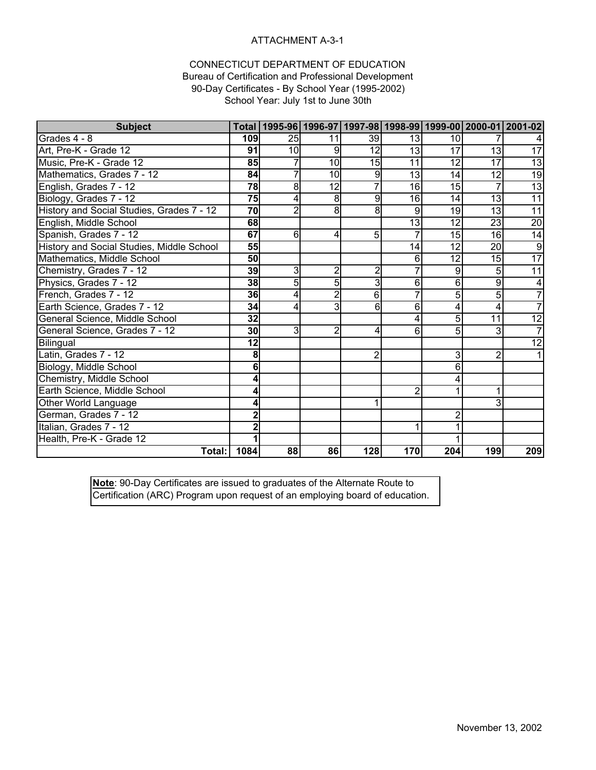### ATTACHMENT A-3-1

#### CONNECTICUT DEPARTMENT OF EDUCATION Bureau of Certification and Professional Development 90-Day Certificates - By School Year (1995-2002) School Year: July 1st to June 30th

| <b>Subject</b>                            |                 |          | Total   1995-96   1996-97   1997-98   1998-99   1999-00   2000-01   2001-02 |                |                 |                 |                 |                 |
|-------------------------------------------|-----------------|----------|-----------------------------------------------------------------------------|----------------|-----------------|-----------------|-----------------|-----------------|
| Grades 4 - 8                              | 109             | 25       | 11                                                                          | 39             | 13              | 10              |                 |                 |
| Art, Pre-K - Grade 12                     | 91              | 10       | 9                                                                           | 12             | 13              | 17              | 13              | 17              |
| Music, Pre-K - Grade 12                   | 85              |          | 10                                                                          | 15             | 11              | 12              | 17              | 13              |
| Mathematics, Grades 7 - 12                | 84              |          | 10                                                                          | 9              | 13              | 14              | 12              | 19              |
| English, Grades 7 - 12                    | 78              | 8        | 12                                                                          |                | 16              | 15              | 7               | $\overline{13}$ |
| Biology, Grades 7 - 12                    | 75              | 4        | 8                                                                           | 9              | 16              | 14              | 13              | 11              |
| History and Social Studies, Grades 7 - 12 | $\overline{70}$ | 2        | 8                                                                           | 8              | 9               | 19              | 13              | 11              |
| English, Middle School                    | 68              |          |                                                                             |                | $\overline{13}$ | $\overline{12}$ | 23              | $\overline{20}$ |
| Spanish, Grades 7 - 12                    | 67              | $6 \mid$ | 4                                                                           | 5              |                 | 15              | 16              | 14              |
| History and Social Studies, Middle School | 55              |          |                                                                             |                | 14              | 12              | $\overline{20}$ | 9               |
| Mathematics, Middle School                | 50              |          |                                                                             |                | 6               | 12              | 15              | $\overline{17}$ |
| Chemistry, Grades 7 - 12                  | 39              | 3        | $\overline{c}$                                                              | $\overline{2}$ |                 | 9               | 5               | 11              |
| Physics, Grades 7 - 12                    | 38              | 5        | 5                                                                           | 3              | 6               | 6               | 9               |                 |
| French, Grades 7 - 12                     | 36              | 4        | $\overline{2}$                                                              | 6              |                 | 5               | 5               |                 |
| Earth Science, Grades 7 - 12              | 34              | 4        | 3                                                                           | 6              | 6               | 4               | 4               |                 |
| General Science, Middle School            | 32              |          |                                                                             |                | 4               | 5               | 11              | 12              |
| General Science, Grades 7 - 12            | 30              | 3        | $\overline{2}$                                                              | 4              | 6               | 5               | 3               |                 |
| Bilingual                                 | 12              |          |                                                                             |                |                 |                 |                 | 12              |
| Latin, Grades 7 - 12                      | 8               |          |                                                                             | $\overline{c}$ |                 | 3               | $\overline{c}$  |                 |
| Biology, Middle School                    | 6               |          |                                                                             |                |                 | 6               |                 |                 |
| Chemistry, Middle School                  |                 |          |                                                                             |                |                 | 4               |                 |                 |
| Earth Science, Middle School              |                 |          |                                                                             |                | 2               |                 |                 |                 |
| Other World Language                      |                 |          |                                                                             |                |                 |                 | 3               |                 |
| German, Grades 7 - 12                     |                 |          |                                                                             |                |                 | 2               |                 |                 |
| Italian, Grades 7 - 12                    |                 |          |                                                                             |                |                 |                 |                 |                 |
| Health, Pre-K - Grade 12                  |                 |          |                                                                             |                |                 |                 |                 |                 |
| Total:                                    | 1084            | 88       | 86                                                                          | 128            | 170             | 204             | 199             | 209             |

**Note**: 90-Day Certificates are issued to graduates of the Alternate Route to Certification (ARC) Program upon request of an employing board of education.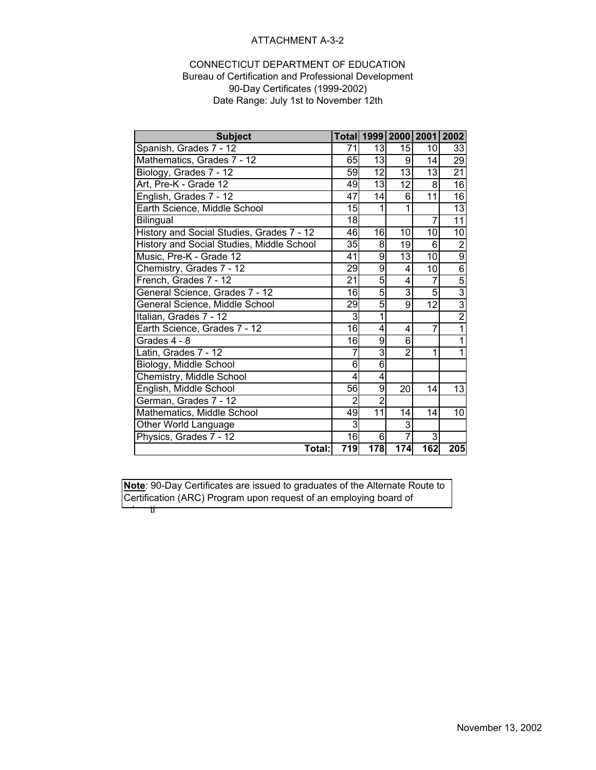### ATTACHMENT A-3-2

#### CONNECTICUT DEPARTMENT OF EDUCATION Bureau of Certification and Professional Development 90-Day Certificates (1999-2002) Date Range: July 1st to November 12th

| <b>Subject</b>                            |                |                 |                | Total 1999 2000 2001 2002 |                 |
|-------------------------------------------|----------------|-----------------|----------------|---------------------------|-----------------|
| Spanish, Grades 7 - 12                    | 71             | 13              | 15             | 10                        | 33              |
| Mathematics, Grades 7 - 12                | 65             | $\overline{13}$ | 9              | 14                        | 29              |
| Biology, Grades 7 - 12                    | 59             | $\overline{12}$ | 13             | 13                        | 21              |
| Art, Pre-K - Grade 12                     | 49             | $\overline{13}$ | 12             | 8                         | 16              |
| English, Grades 7 - 12                    | 47             | 14              | 6              | $\overline{11}$           | 16              |
| Earth Science, Middle School              | 15             | 1               | 1              |                           | $\overline{13}$ |
| <b>Bilingual</b>                          | 18             |                 |                | 7                         | 11              |
| History and Social Studies, Grades 7 - 12 | 46             | 16              | 10             | 10                        | 10              |
| History and Social Studies, Middle School | 35             | 8               | 19             | 6                         | $\overline{2}$  |
| Music, Pre-K - Grade 12                   | 41             | 9               | 13             | 10                        | $\overline{9}$  |
| Chemistry, Grades 7 - 12                  | 29             | 9               | 4              | 10                        | $\overline{6}$  |
| French, Grades 7 - 12                     | 21             | 5               | 4              | 7                         | $\overline{5}$  |
| General Science, Grades 7 - 12            | 16             | 5               | 3              | 5                         | $\overline{3}$  |
| General Science, Middle School            | 29             | 5               | 9              | $\overline{12}$           | $\overline{3}$  |
| Italian, Grades 7 - 12                    | 3              | 1               |                |                           | $\overline{2}$  |
| Earth Science, Grades 7 - 12              | 16             | 4               | 4              | 7                         | 1               |
| Grades 4 - 8                              | 16             | 9               | 6              |                           | 1               |
| Latin, Grades 7 - 12                      |                | 3               | $\overline{2}$ | 1                         | 1               |
| Biology, Middle School                    | 6              | 6               |                |                           |                 |
| Chemistry, Middle School                  | 4              | 4               |                |                           |                 |
| English, Middle School                    | 56             | 9               | 20             | 14                        | 13              |
| German, Grades 7 - 12                     | $\overline{2}$ | $\overline{2}$  |                |                           |                 |
| Mathematics, Middle School                | 49             | $\overline{11}$ | 14             | 14                        | 10              |
| Other World Language                      | 3              |                 | 3              |                           |                 |
| Physics, Grades 7 - 12                    | $\overline{6}$ | 6               |                | 3                         |                 |
| Total:                                    | 719            | 178             | 174            | 162                       | 205             |

**Note**: 90-Day Certificates are issued to graduates of the Alternate Route to Certification (ARC) Program upon request of an employing board of  $\dot{\mathbb{t}}$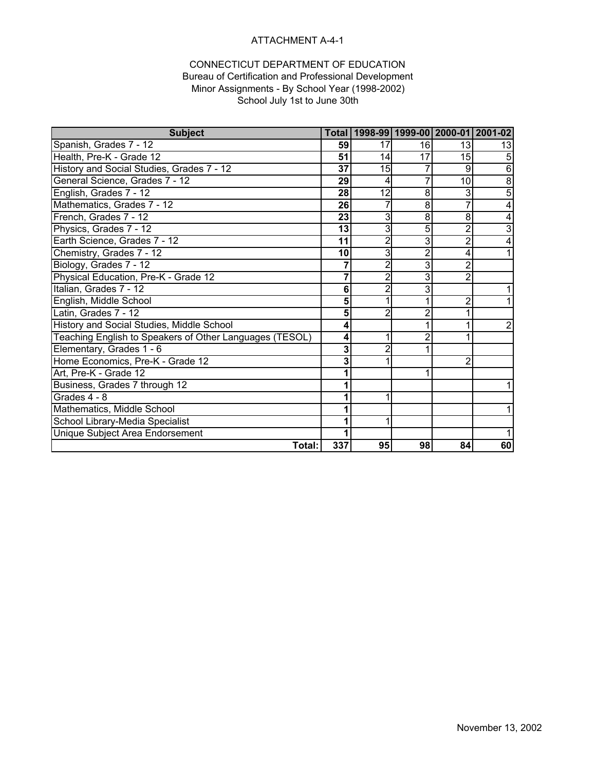### ATTACHMENT A-4-1

### CONNECTICUT DEPARTMENT OF EDUCATION Bureau of Certification and Professional Development

Minor Assignments - By School Year (1998-2002) School July 1st to June 30th

| <b>Subject</b>                                          | Total |                 |                |                 | 1998-99 1999-00 2000-01 2001-02 |
|---------------------------------------------------------|-------|-----------------|----------------|-----------------|---------------------------------|
| Spanish, Grades 7 - 12                                  | 59    | 17              | 16             | 13              | 13                              |
| Health, Pre-K - Grade 12                                | 51    | 14              | 17             | 15              | 5                               |
| History and Social Studies, Grades 7 - 12               | 37    | 15              |                | 9               | 6                               |
| General Science, Grades 7 - 12                          | 29    | 4               | 7              | 10 <sup>1</sup> | 8                               |
| English, Grades 7 - 12                                  | 28    | $\overline{12}$ | 8              | 3               | 5                               |
| Mathematics, Grades 7 - 12                              | 26    |                 | 8              |                 | 4                               |
| French, Grades 7 - 12                                   | 23    | 3               | 8              | 8               | 4                               |
| Physics, Grades 7 - 12                                  | 13    | 3               | 5              | $\overline{2}$  | $\overline{3}$                  |
| Earth Science, Grades 7 - 12                            | 11    | $\overline{2}$  | 3              | $\overline{2}$  |                                 |
| Chemistry, Grades 7 - 12                                | 10    | $\overline{3}$  | $\overline{2}$ | 4               |                                 |
| Biology, Grades 7 - 12                                  |       | $\overline{2}$  | 3              | $\overline{2}$  |                                 |
| Physical Education, Pre-K - Grade 12                    | 7     | 2               | 3              | $\overline{2}$  |                                 |
| Italian, Grades 7 - 12                                  | 6     | 2               | 3              |                 |                                 |
| English, Middle School                                  | 5     |                 | 1              | $\overline{2}$  |                                 |
| Latin, Grades 7 - 12                                    | 5     | 2               | $\overline{2}$ |                 |                                 |
| History and Social Studies, Middle School               | 4     |                 | 1              |                 | 2                               |
| Teaching English to Speakers of Other Languages (TESOL) | 4     |                 | 2              |                 |                                 |
| Elementary, Grades 1 - 6                                | 3     |                 |                |                 |                                 |
| Home Economics, Pre-K - Grade 12                        | 3     |                 |                | $\overline{2}$  |                                 |
| Art, Pre-K - Grade 12                                   |       |                 |                |                 |                                 |
| Business, Grades 7 through 12                           |       |                 |                |                 |                                 |
| Grades 4 - 8                                            |       |                 |                |                 |                                 |
| Mathematics, Middle School                              |       |                 |                |                 |                                 |
| School Library-Media Specialist                         |       |                 |                |                 |                                 |
| Unique Subject Area Endorsement                         |       |                 |                |                 |                                 |
| Total:                                                  | 337   | 95              | 98             | 84              | 60                              |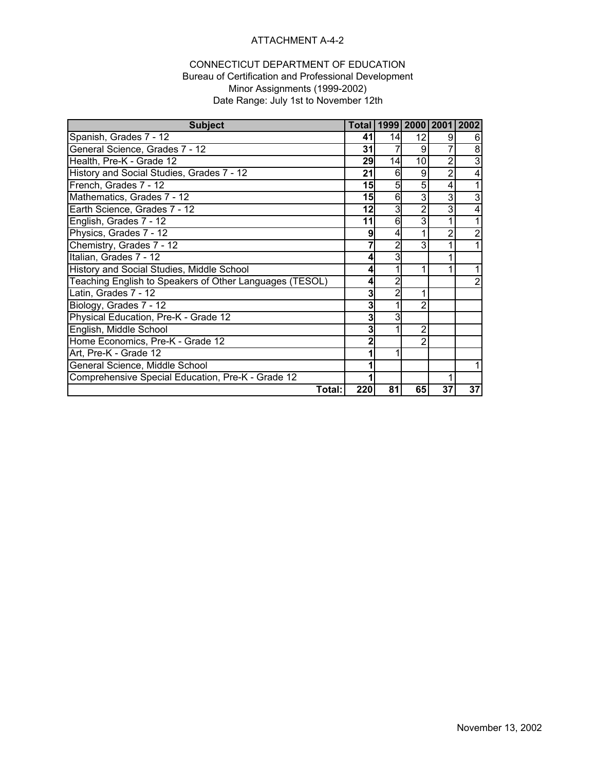### ATTACHMENT A-4-2

#### CONNECTICUT DEPARTMENT OF EDUCATION Bureau of Certification and Professional Development Minor Assignments (1999-2002) Date Range: July 1st to November 12th

| <b>Subject</b>                                          | <b>Total</b> |    | 1999   2000   2001   2002 |    |                |
|---------------------------------------------------------|--------------|----|---------------------------|----|----------------|
| Spanish, Grades 7 - 12                                  | 41           | 14 | 12                        | 9  | 6              |
| General Science, Grades 7 - 12                          | 31           |    | 9                         |    | 8              |
| Health, Pre-K - Grade 12                                | 29           | 14 | 10                        | 2  | 3              |
| History and Social Studies, Grades 7 - 12               | 21           | 6  | 9                         | 2  | 4              |
| French, Grades 7 - 12                                   | 15           |    | 5                         | 4  |                |
| Mathematics, Grades 7 - 12                              | 15           | 6  | 3                         | 3  | 3              |
| Earth Science, Grades 7 - 12                            | 12           | 3  | 2                         | 3  | 4              |
| English, Grades 7 - 12                                  | 11           | 6  | 3                         |    |                |
| Physics, Grades 7 - 12                                  | 9            |    |                           |    | 2              |
| Chemistry, Grades 7 - 12                                |              |    | 3                         |    |                |
| Italian, Grades 7 - 12                                  | 4            |    |                           |    |                |
| History and Social Studies, Middle School               | 4            |    |                           |    | 1              |
| Teaching English to Speakers of Other Languages (TESOL) | 4            | 2  |                           |    | $\overline{2}$ |
| Latin, Grades 7 - 12                                    | 3            |    | 1                         |    |                |
| Biology, Grades 7 - 12                                  | 3            |    | 2                         |    |                |
| Physical Education, Pre-K - Grade 12                    | 3            |    |                           |    |                |
| English, Middle School                                  | 3            |    | 2                         |    |                |
| Home Economics, Pre-K - Grade 12                        | 2            |    | 2                         |    |                |
| Art, Pre-K - Grade 12                                   |              |    |                           |    |                |
| General Science, Middle School                          |              |    |                           |    |                |
| Comprehensive Special Education, Pre-K - Grade 12       |              |    |                           |    |                |
| Total:                                                  | 220          | 81 | 65                        | 37 | 37             |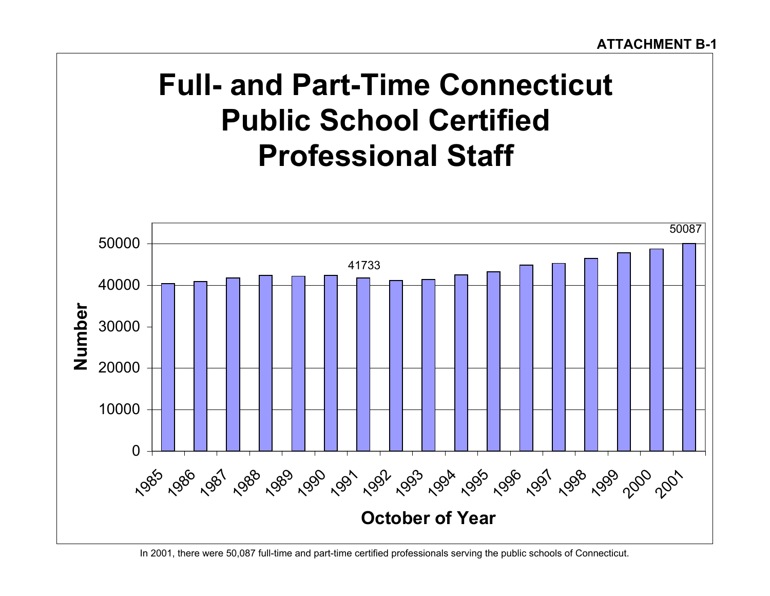# **Full- and Part-Time Connecticut Public School Certified Professional Staff**



In 2001, there were 50,087 full-time and part-time certified professionals serving the public schools of Connecticut.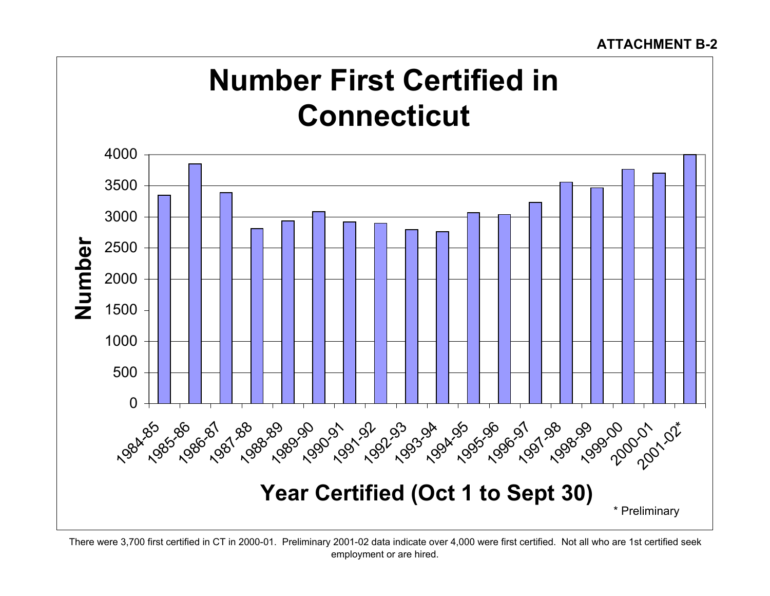# **ATTACHMENT B-2**

# **Number First Certified in Connecticut**



There were 3,700 first certified in CT in 2000-01. Preliminary 2001-02 data indicate over 4,000 were first certified. Not all who are 1st certified seek employment or are hired.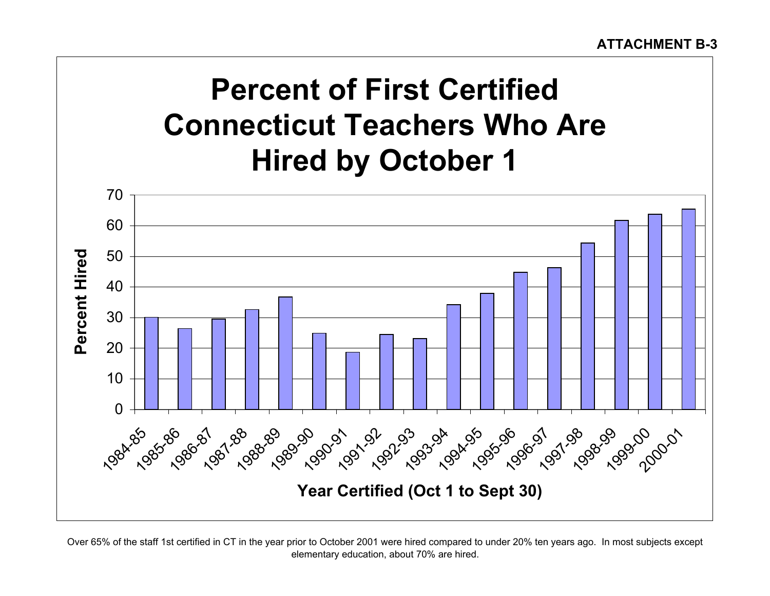# **Percent of First Certified Connecticut Teachers Who Are Hired by October 1**



Over 65% of the staff 1st certified in CT in the year prior to October 2001 were hired compared to under 20% ten years ago. In most subjects except elementary education, about 70% are hired.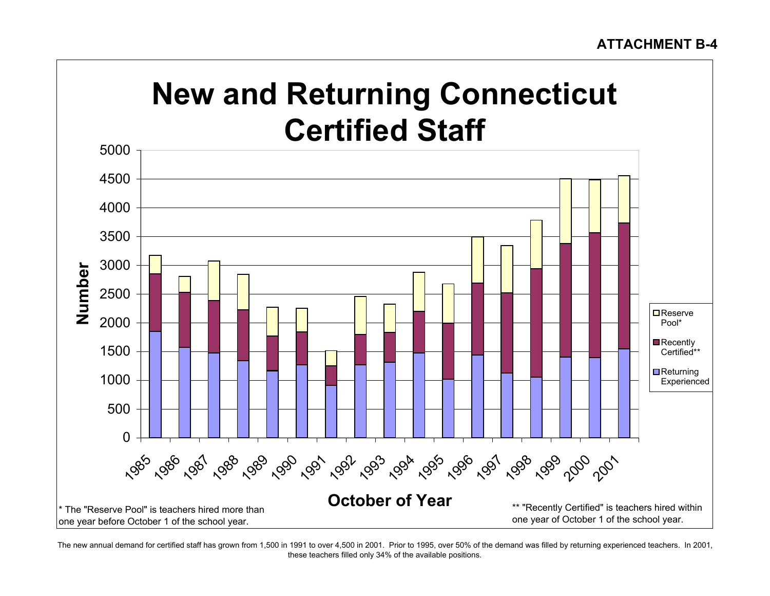# **New and Returning Connecticut Certified Staff**



The new annual demand for certified staff has grown from 1,500 in 1991 to over 4,500 in 2001. Prior to 1995, over 50% of the demand was filled by returning experienced teachers. In 2001, these teachers filled only 34% of the available positions.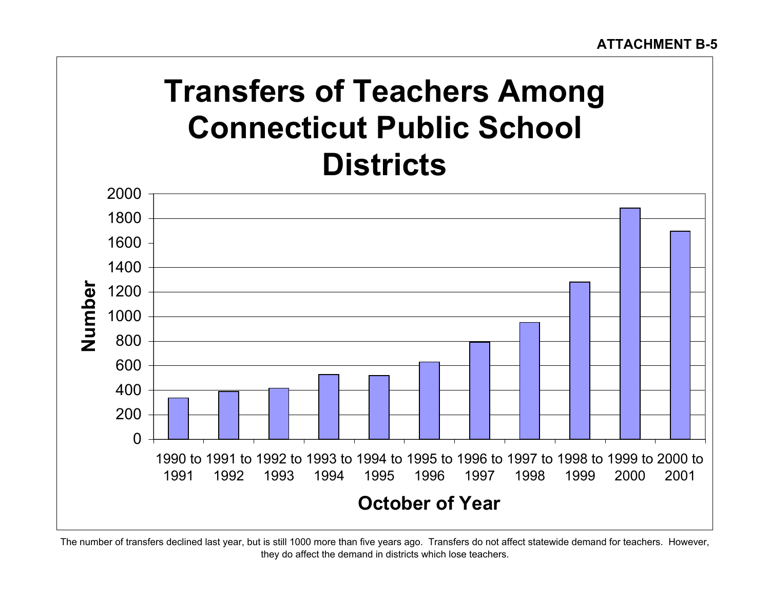# **Transfers of Teachers Among Connecticut Public School Districts**



The number of transfers declined last year, but is still 1000 more than five years ago. Transfers do not affect statewide demand for teachers. However, they do affect the demand in districts which lose teachers.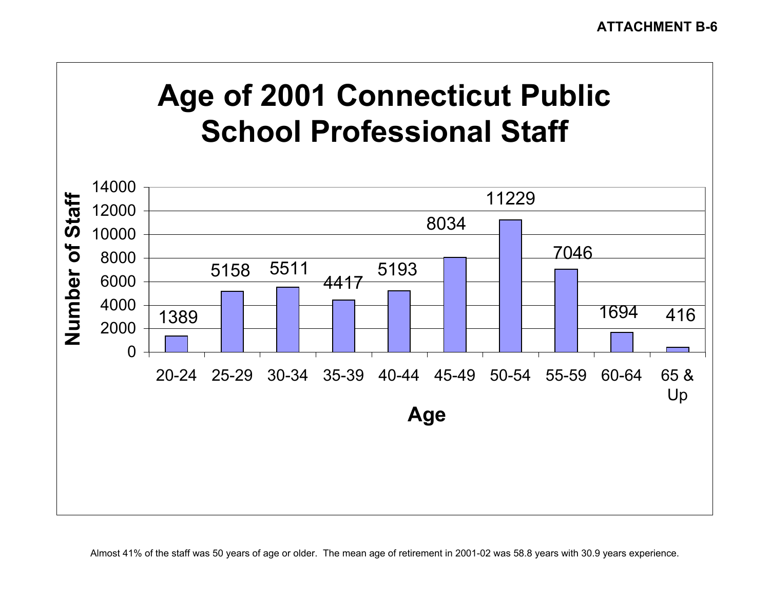